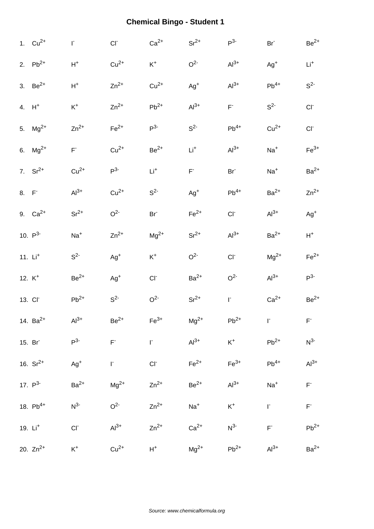|      | 1. $Cu^{2+}$        | $\mathsf{I}^*$          | $CI-$          | $Ca2+$          | $Sr^{2+}$      | $P^3$           | Br <sup>-</sup> | $\rm Be^{2+}$  |
|------|---------------------|-------------------------|----------------|-----------------|----------------|-----------------|-----------------|----------------|
|      | 2. $Pb^{2+}$        | $\mathsf{H}^+$          | $Cu2+$         | $\mathsf{K}^+$  | O <sup>2</sup> | $Al3+$          | $Ag+$           | $Li+$          |
|      | 3. $Be^{2+}$        | $H^+$                   | $Zn^{2+}$      | $Cu2+$          | $Ag^{+}$       | $Al3+$          | $Pb^{4+}$       | $S^2$          |
|      | $4. H+$             | $\mathsf{K}^+$          | $Zn^{2+}$      | $Pb^{2+}$       | $Al3+$         | $F^*$           | $S2-$           | CI             |
|      | 5. $Mg^{2+}$        | $Zn^{2+}$               | $Fe2+$         | P <sup>3</sup>  | $S^2$          | $Pb^{4+}$       | $Cu2+$          | $CI^-$         |
|      | 6. $Mg^{2+}$        | $\mathsf{F}^{\text{-}}$ | $Cu2+$         | $Be2+$          | $Li+$          | $Al3+$          | $Na+$           | $Fe3+$         |
|      | 7. $Sr^{2+}$        | $Cu2+$                  | $P^3$          | $\mathsf{Li}^+$ | $\mathsf{F}^*$ | Br <sup>-</sup> | $Na+$           | $Ba2+$         |
| 8. F |                     | $Al3+$                  | $Cu2+$         | $S^2$           | $Ag^{+}$       | $Pb^{4+}$       | $Ba2+$          | $Zn^{2+}$      |
|      | 9. $Ca^{2+}$        | $Sr^{2+}$               | O <sup>2</sup> | Br <sup>-</sup> | $Fe2+$         | $CI-$           | $Al3+$          | $Ag^{+}$       |
|      | 10. $P^3$           | $Na+$                   | $Zn^{2+}$      | $Mg^{2+}$       | $Sr^{2+}$      | $Al3+$          | $Ba2+$          | $H^+$          |
|      | 11. $Li+$           | $S^2$                   | $Ag+$          | $\mathsf{K}^+$  | O <sup>2</sup> | $CI-$           | $\rm Mg^{2+}$   | $Fe2+$         |
|      | 12. $K^+$           | $Be2+$                  | $Ag+$          | $CI-$           | $Ba2+$         | O <sup>2</sup>  | $Al3+$          | $P^3$          |
|      | 13. CI <sup>-</sup> | $Pb^{2+}$               | $S^2$          | O <sup>2</sup>  | $\rm Sr^{2+}$  | $\mathsf{I}^*$  | $Ca2+$          | $Be2+$         |
|      | 14. $Ba^{2+}$       | $Al3+$                  | $Be2+$         | $Fe3+$          | $Mg^{2+}$      | $Pb^{2+}$       | $\Gamma$        | $\mathsf{F}^*$ |
|      | 15. Br              | $P^3$                   | $\mathsf{F}^*$ | $\Gamma$        | $Al3+$         | $K^+$           | $Pb^{2+}$       | $N^3$          |
|      | 16. $Sr^{2+}$       | $Ag^{+}$                | $\Gamma$       | $CI+$           | $Fe2+$         | $Fe3+$          | $Pb^{4+}$       | $Al3+$         |
|      | 17. $P^3$           | $Ba2+$                  | $Mg^{2+}$      | $Zn^{2+}$       | $Be2+$         | $Al^{3+}$       | $Na+$           | $\mathsf{F}^*$ |
|      | 18. $Pb^{4+}$       | $N^{3-}$                | O <sup>2</sup> | $Zn^{2+}$       | $Na+$          | $K^+$           | $\mathsf I^*$   | $\mathsf{F}^*$ |
|      | 19. Li <sup>+</sup> | CI                      | $Al3+$         | $Zn^{2+}$       | $Ca2+$         | $N^3$           | $\mathsf{F}^*$  | $Pb^{2+}$      |
|      | 20. $Zn^{2+}$       | $K^+$                   | $Cu2+$         | $H^+$           | $Mg^{2+}$      | $Pb^{2+}$       | $Al3+$          | $Ba2+$         |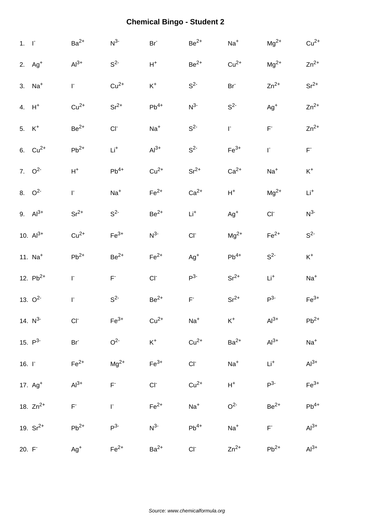| 1. F              |                      | $Ba2+$             | $N^3$          | $Br-$          | $Be^{2+}$       | $Na+$           | $\rm Mg^{2+}$   | $Cu2+$          |
|-------------------|----------------------|--------------------|----------------|----------------|-----------------|-----------------|-----------------|-----------------|
|                   | 2. $Ag+$             | $Al3+$             | S <sup>2</sup> | $\mathsf{H}^+$ | $Be2+$          | $Cu2+$          | $\rm Mg^{2+}$   | $Zn^{2+}$       |
|                   | $3.$ Na <sup>+</sup> | $\Gamma$           | $Cu2+$         | $\mathsf{K}^+$ | S <sup>2</sup>  | Br <sup>-</sup> | $Zn^{2+}$       | $Sr^{2+}$       |
|                   | 4. $H^+$             | $Cu2+$             | $Sr^{2+}$      | $Pb^{4+}$      | $N^3$           | $S^2$           | $Ag^{+}$        | $Zn^{2+}$       |
| 5. K <sup>+</sup> |                      | $Be2+$             | $CI-$          | $Na+$          | $S^2$           | $\mathsf{I}^*$  | $\mathsf{F}^*$  | $Zn^{2+}$       |
|                   | 6. $Cu^{2+}$         | $\mathsf{Pb}^{2+}$ | $Li+$          | $Al3+$         | $S^2$           | $Fe3+$          | $\mathsf{I}^*$  | $\mathsf{F}^*$  |
|                   | 7. $Q^2$             | $\mathsf{H}^+$     | $Pb^{4+}$      | $Cu2+$         | $Sr^{2+}$       | $Ca2+$          | $Na+$           | $\mathsf{K}^+$  |
|                   | 8. $Q^2$             | F.                 | $Na+$          | $Fe2+$         | $Ca2+$          | $H^+$           | $Mg^{2+}$       | $\mathsf{Li}^+$ |
|                   | 9. $Al^{3+}$         | $Sr^{2+}$          | S <sup>2</sup> | $Be2+$         | $Li+$           | $Ag^{+}$        | $Cl^-$          | $N^3$           |
|                   | 10. $Al^{3+}$        | $Cu2+$             | $Fe3+$         | $N^{3-}$       | CI <sub>c</sub> | $Mg^{2+}$       | $Fe2+$          | $S^2$           |
|                   | 11. $Na+$            | $\mathsf{Pb}^{2+}$ | $Be2+$         | $Fe2+$         | $Ag+$           | $Pb^{4+}$       | $S^2$           | $\mathsf{K}^+$  |
|                   | 12. $Pb^{2+}$        | $\Gamma$           | $\mathsf{F}^*$ | $CI-$          | $P^3$           | $Sr^{2+}$       | $\mathsf{Li}^+$ | $Na+$           |
|                   | 13. $O^{2-}$         | $\Gamma$           | $S^2$          | $Be2+$         | $\mathsf{F}^*$  | $Sr^{2+}$       | $P^3$           | $Fe3+$          |
|                   | 14. $N^3$            | CI                 | $Fe3+$         | $Cu2+$         | $Na+$           | $K^+$           | $Al3+$          | $Pb^{2+}$       |
|                   | 15. $P^{3-}$         | $Br-$              | O <sup>2</sup> | $\mathsf{K}^+$ | $Cu2+$          | $Ba2+$          | $Al3+$          | $Na+$           |
| 16. $\Gamma$      |                      | $Fe2+$             | $Mg^{2+}$      | $Fe3+$         | $CI^-$          | $Na+$           | $Li+$           | $Al3+$          |
|                   | 17. Ag <sup>+</sup>  | $Al3+$             | $\mathsf{F}^*$ | $CI-$          | $Cu2+$          | $H^+$           | $P^{3-}$        | $Fe3+$          |
|                   | 18. $Zn^{2+}$        | $\mathsf{F}^*$     | $\Gamma$       | $Fe2+$         | $Na+$           | O <sup>2</sup>  | $Be2+$          | $Pb^{4+}$       |
|                   | 19. $Sr^{2+}$        | $Pb^{2+}$          | $P^3$          | $N^{3-}$       | $Pb^{4+}$       | $Na+$           | $F^-$           | $Al3+$          |
| 20. F             |                      | $Ag+$              | $Fe2+$         | $Ba2+$         | $Cl^-$          | $Zn^{2+}$       | $Pb^{2+}$       | $Al^{3+}$       |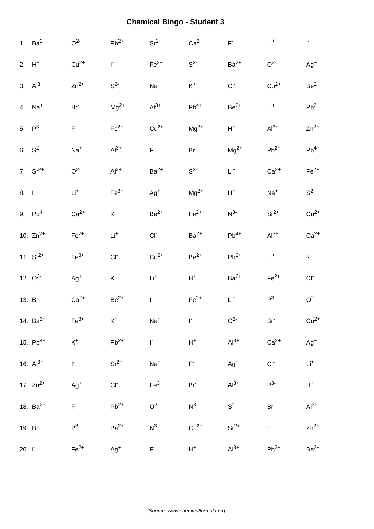|                    | 1. $Ba^{2+}$  | O <sup>2</sup>          | $Pb^{2+}$      | $Sr^{2+}$       | $Ca2+$          | $\mathsf{F}^*$ | $\mathsf{Li}^+$ | $\mathsf{I}^*$  |
|--------------------|---------------|-------------------------|----------------|-----------------|-----------------|----------------|-----------------|-----------------|
|                    | $2. H+$       | $Cu2+$                  | F.             | $Fe3+$          | S <sup>2</sup>  | $Ba2+$         | O <sup>2</sup>  | $Ag+$           |
|                    | 3. $Al^{3+}$  | $Zn^{2+}$               | S <sup>2</sup> | $Na+$           | $K^+$           | $CI-$          | $Cu2+$          | $\rm Be^{2+}$   |
|                    | 4. $Na+$      | Br <sup>-</sup>         | $\rm Mg^{2+}$  | $Al3+$          | $Pb^{4+}$       | $\rm Be^{2+}$  | $Li+$           | $Pb^{2+}$       |
|                    | 5. $P^3$      | $\mathsf{F}^{\text{-}}$ | $Fe2+$         | $Cu2+$          | $Mg^{2+}$       | $H^+$          | $Al3+$          | $Zn^{2+}$       |
|                    | 6. $S^2$      | $Na+$                   | $Al3+$         | $\mathsf{F}^*$  | Br <sup>-</sup> | $Mg^{2+}$      | $Pb^{2+}$       | $Pb^{4+}$       |
|                    | 7. $Sr^{2+}$  | O <sup>2</sup>          | $Al3+$         | $Ba2+$          | S <sup>2</sup>  | $Li+$          | $Ca2+$          | $Fe2+$          |
| 8. F               |               | $\mathsf{Li}^+$         | $Fe3+$         | $Ag^{+}$        | $Mg^{2+}$       | $\mathsf{H}^+$ | $Na+$           | $S^2$           |
|                    | 9. $Pb^{4+}$  | $Ca2+$                  | $K^+$          | $Be2+$          | $Fe2+$          | $N^3$          | $Sr^{2+}$       | $Cu2+$          |
|                    | 10. $Zn^{2+}$ | $\mathsf{Fe}^{2+}$      | $Li+$          | $CI-$           | $Ba2+$          | $Pb^{4+}$      | $Al3+$          | $Ca2+$          |
|                    | 11. $Sr^{2+}$ | $\mathsf{Fe}^{3+}$      | CI             | $Cu2+$          | $Be2+$          | $Pb^{2+}$      | $\mathsf{Li}^+$ | $\mathsf{K}^+$  |
|                    | 12. $O^2$     | $Ag+$                   | $\mathsf{K}^+$ | $Li+$           | $H^+$           | $Ba2+$         | $Fe2+$          | $CI^-$          |
|                    | 13. Br        | $Ca2+$                  | $Be2+$         | F.              | $Fe2+$          | $Li+$          | $P^3$           | O <sup>2</sup>  |
|                    | 14. $Ba^{2+}$ | $\mathsf{Fe}^{3+}$      | $K^+$          | $Na+$           | $\mathbf{r}$    | O <sup>2</sup> | Br <sup>-</sup> | $Cu2+$          |
|                    | 15. $Pb^{4+}$ | $\mathsf{K}^+$          | $Pb^{2+}$      | r.              | $\mathsf{H}^+$  | $Al3+$         | $Ca2+$          | $Ag^{+}$        |
|                    | 16. $Al^{3+}$ | $\Gamma$                | $Sr^{2+}$      | $\mathrm{Na}^+$ | $\mathsf{F}^*$  | $Ag^{+}$       | $CI^-$          | $\mathsf{Li}^+$ |
|                    | 17. $Zn^{2+}$ | $Ag+$                   | $CI^-$         | $Fe3+$          | Br <sup>-</sup> | $Al^{3+}$      | $P^3$           | $\mathsf{H}^+$  |
|                    | 18. $Ba^{2+}$ | $\mathsf{F}^{\text{-}}$ | $Pb^{2+}$      | O <sup>2</sup>  | $N^3$           | S <sup>2</sup> | Br <sup>-</sup> | $Al^{3+}$       |
|                    | 19. Br        | P <sup>3</sup>          | $Ba2+$         | $N^3$           | $Cu2+$          | $Sr^{2+}$      | $\mathsf{F}^*$  | $Zn^{2+}$       |
| 20. I <sub>1</sub> |               | $Fe2+$                  | $Ag+$          | $\mathsf{F}^*$  | $H^+$           | $Al3+$         | $Pb^{2+}$       | $Be^{2+}$       |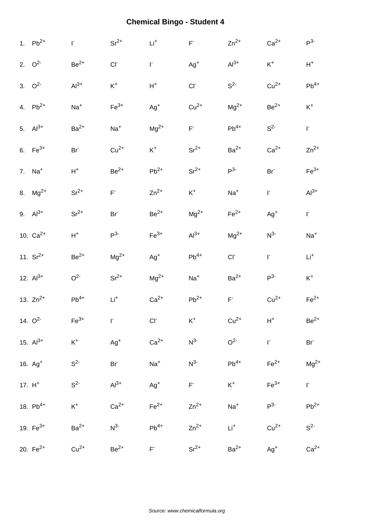| 1. $Pb^{2+}$  | $\mathsf{I}^*$     | $Sr^{2+}$       | $\mathsf{Li}^+$    | $\mathsf{F}^{\text{-}}$ | $Zn^{2+}$      | $Ca2+$          | $P^3$          |
|---------------|--------------------|-----------------|--------------------|-------------------------|----------------|-----------------|----------------|
| 2. $Q^2$      | $Be2+$             | CI              | F.                 | $Ag^+$                  | $Al3+$         | $\mathsf{K}^+$  | $\mathsf{H}^+$ |
| 3. $Q^2$      | $Al3+$             | $\mathsf{K}^+$  | $\mathsf{H}^+$     | $CI-$                   | S <sup>2</sup> | $Cu2+$          | $Pb^{4+}$      |
| 4. $Pb^{2+}$  | $Na+$              | $Fe3+$          | $Ag^{+}$           | $Cu2+$                  | $Mg^{2+}$      | $Be2+$          | $\mathsf{K}^+$ |
| 5. $Al^{3+}$  | $Ba2+$             | $Na+$           | $\rm Mg^{2+}$      | $\mathsf{F}^*$          | $Pb^{4+}$      | $S^2$           | ŀ.             |
| 6. $Fe^{3+}$  | Br <sup>-</sup>    | $Cu2+$          | $\mathsf{K}^+$     | $\rm Sr^{2+}$           | $Ba2+$         | $Ca2+$          | $Zn^{2+}$      |
| 7. $Na+$      | $\mathsf{H}^+$     | $Be2+$          | $\mathsf{Pb}^{2+}$ | $\rm Sr^{2+}$           | $P3-$          | Br <sup>-</sup> | $Fe3+$         |
| 8. $Mg^{2+}$  | $Sr^{2+}$          | $\mathsf{F}^*$  | $Zn^{2+}$          | $\mathsf{K}^+$          | $Na+$          | $\mathsf{I}^*$  | $Al3+$         |
| 9. $Al^{3+}$  | $Sr^{2+}$          | Br <sup>-</sup> | $\rm Be^{2+}$      | $Mg^{2+}$               | $Fe2+$         | $Ag+$           | $\mathsf{I}^*$ |
| 10. $Ca^{2+}$ | $\mathsf{H}^+$     | $P^3$           | $\mathsf{Fe}^{3+}$ | $Al3+$                  | $Mg^{2+}$      | $N^{3-}$        | $Na+$          |
| 11. $Sr^{2+}$ | $\mbox{Be}^{2+}$   | $Mg^{2+}$       | $Ag+$              | $\mathsf{Pb}^{4+}$      | $CI-$          | $\mathsf{L}$    | $Li+$          |
| 12. $Al^{3+}$ | O <sup>2</sup>     | $Sr^{2+}$       | $\rm Mg^{2+}$      | $Na+$                   | $Ba2+$         | $P^3$           | $\mathsf{K}^+$ |
| 13. $Zn^{2+}$ | $Pb^{4+}$          | $\mathsf{Li}^+$ | $Ca2+$             | $Pb^{2+}$               | F.             | $Cu2+$          | $Fe2+$         |
| 14. $O^2$     | $\mathsf{Fe}^{3+}$ | T.              | $CI^-$             | $K^+$                   | $Cu2+$         | $\mathsf{H}^+$  | $Be^{2+}$      |
| 15. $Al^{3+}$ | $\mathsf{K}^+$     | $Ag^{+}$        | $Ca2+$             | $N^3$                   | O <sup>2</sup> | $\mathsf{I}^*$  | $Br^-$         |
| 16. $Ag+$     | $S^2$              | Br <sup>-</sup> | $Na+$              | $N^3$                   | $Pb^{4+}$      | $Fe2+$          | $Mg^{2+}$      |
| 17. $H^+$     | $S^2$              | $Al3+$          | $Ag^{+}$           | $\mathsf{F}^*$          | $K^+$          | $Fe3+$          | $\Gamma$       |
| 18. $Pb^{4+}$ | $\mathsf{K}^+$     | $Ca2+$          | $Fe2+$             | $Zn^{2+}$               | $Na+$          | $P^3$           | $Pb^{2+}$      |
| 19. $Fe^{3+}$ | $Ba2+$             | $N^3$           | $Pb^{4+}$          | $Zn^{2+}$               | $Li+$          | $Cu2+$          | $S^2$          |
|               |                    |                 |                    |                         |                |                 |                |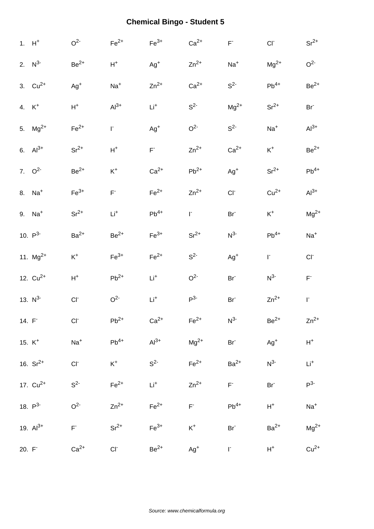|       | $1. H+$            | O <sup>2</sup>          | $\mathsf{Fe}^{2+}$      | $Fe3+$         | $Ca2+$             | $\mathsf{F}^*$  | CI <sub>r</sub>  | $Sr^{2+}$               |
|-------|--------------------|-------------------------|-------------------------|----------------|--------------------|-----------------|------------------|-------------------------|
|       | 2. $N^{3-}$        | $Be2+$                  | $\mathsf{H}^+$          | $Ag^+$         | $Zn^{2+}$          | $Na+$           | $\rm Mg^{2+}$    | O <sup>2</sup>          |
|       | 3. $Cu^{2+}$       | $Ag^{+}$                | $Na+$                   | $Zn^{2+}$      | $Ca2+$             | $S^2$           | $Pb^{4+}$        | $Be^{2+}$               |
|       | 4. K <sup>+</sup>  | $H^+$                   | $Al3+$                  | $Li+$          | $S^2$              | $Mg^{2+}$       | $Sr^{2+}$        | Br <sup>-</sup>         |
|       | 5. $Mg^{2+}$       | $Fe2+$                  | F.                      | $Ag^{+}$       | O <sup>2</sup>     | $S^2$           | $Na+$            | $Al3+$                  |
|       | 6. $Al^{3+}$       | $Sr^{2+}$               | $\mathsf{H}^+$          | $\mathsf{F}^*$ | $Zn^{2+}$          | $Ca2+$          | $K^+$            | $Be2+$                  |
|       | 7. $Q^2$           | $Be2+$                  | $\mathsf{K}^+$          | $Ca2+$         | $Pb^{2+}$          | $Ag^+$          | $Sr^{2+}$        | $Pb^{4+}$               |
|       | 8. Na <sup>+</sup> | $Fe3+$                  | $\mathsf{F}^{\text{-}}$ | $Fe2+$         | $Zn^{2+}$          | $CI-$           | $Cu2+$           | $Al3+$                  |
|       | 9. Na <sup>+</sup> | $Sr^{2+}$               | $Li+$                   | $Pb^{4+}$      | $\mathsf{I}^*$     | $Br-$           | $K^+$            | $Mg^{2+}$               |
|       | 10. $P^{3-}$       | $Ba2+$                  | $Be2+$                  | $Fe3+$         | $Sr^{2+}$          | $N^{3-}$        | $Pb^{4+}$        | $Na+$                   |
|       | 11. $Mg^{2+}$      | $K^+$                   | $\mathsf{Fe}^{3+}$      | $Fe2+$         | S <sup>2</sup>     | $Ag^{+}$        | $\mathsf{I}^*$   | $CI^-$                  |
|       | 12. $Cu^{2+}$      | $\mathsf{H}^+$          | $Pb^{2+}$               | $Li+$          | O <sup>2</sup>     | Br <sup>-</sup> | $N^3$            | $\mathsf{F}^{\text{-}}$ |
|       | 13. $N^3$          | $CI-$                   | O <sup>2</sup>          | $Li+$          | P <sup>3</sup>     | $Br-$           | $Zn^{2+}$        | $\mathsf{I}^*$          |
| 14. F |                    | $CI^-$                  | $Pb^{2+}$               | $Ca2+$         | $\mathsf{Fe}^{2+}$ | $N^3$           | $\mbox{Be}^{2+}$ | $Zn^{2+}$               |
|       | 15. $K^+$          | $\mathrm{Na}^+$         | $Pb^{4+}$               | $Al3+$         | $Mg^{2+}$          | Br <sup>-</sup> | $Ag^+$           | $\mathsf{H}^+$          |
|       | 16. $Sr^{2+}$      | CI <sub>1</sub>         | $\mathsf{K}^+$          | $S^2$          | $Fe2+$             | $Ba2+$          | $N^3$            | $\mathsf{Li}^+$         |
|       | 17. $Cu^{2+}$      | $S^2$                   | $Fe2+$                  | $Li+$          | $Zn^{2+}$          | $F^-$           | Br <sup>-</sup>  | $P^3$                   |
|       | 18. $P^3$          | O <sup>2</sup>          | $Zn^{2+}$               | $Fe2+$         | $\mathsf{F}^*$     | $Pb^{4+}$       | $\mathsf{H}^+$   | $Na+$                   |
|       | 19. $Al^{3+}$      | $\mathsf{F}^{\text{-}}$ | $Sr^{2+}$               | $Fe3+$         | $\mathsf{K}^+$     | Br <sup>-</sup> | $Ba2+$           | $Mg^{2+}$               |
| 20. F |                    | $Ca2+$                  | $CI^-$                  | $Be2+$         | $Ag^{+}$           | $\mathsf{I}^*$  | $H^+$            | $Cu2+$                  |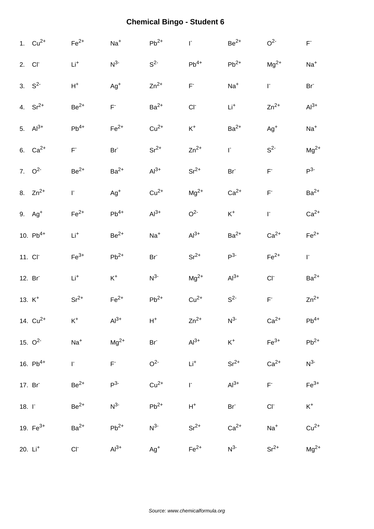|                    | 1. $Cu^{2+}$         | $\mathsf{Fe}^{2+}$      | $Na+$                   | $Pb^{2+}$       | $\mathsf{I}^*$          | $Be^{2+}$          | O <sup>2</sup>           | $\mathsf{F}^*$     |
|--------------------|----------------------|-------------------------|-------------------------|-----------------|-------------------------|--------------------|--------------------------|--------------------|
| 2. Cl <sup>-</sup> |                      | $Li+$                   | $N^3$                   | $S2-$           | $Pb^{4+}$               | $\mathsf{Pb}^{2+}$ | $Mg^{2+}$                | $Na+$              |
|                    | 3. $S^2$             | $\mathsf{H}^+$          | $Ag^+$                  | $Zn^{2+}$       | $\mathsf{F}^{\text{-}}$ | $Na+$              | $\mathsf{I}^*$           | Br <sup>-</sup>    |
|                    | 4. $Sr^{2+}$         | $Be2+$                  | $F^{\dagger}$           | $Ba2+$          | CI                      | $Li+$              | $Zn^{2+}$                | $Al3+$             |
|                    | 5. $Al^{3+}$         | $Pb^{4+}$               | $Fe2+$                  | $Cu2+$          | $\mathsf{K}^+$          | $Ba2+$             | $Ag+$                    | $Na+$              |
|                    | 6. $Ca^{2+}$         | $\mathsf{F}^{\text{-}}$ | $Br-$                   | $Sr^{2+}$       | $Zn^{2+}$               | $\Gamma$           | $S^2$                    | $Mg^{2+}$          |
|                    | 7. $Q^2$             | $Be2+$                  | $Ba2+$                  | $Al3+$          | $Sr^{2+}$               | Br <sup>-</sup>    | $\mathsf{F}^{\text{-}}$  | $P^3$              |
|                    | 8. $Zn^{2+}$         | $\Gamma$                | $Ag^{+}$                | $Cu2+$          | $Mg^{2+}$               | $Ca2+$             | $\mathsf{F}^{\text{-}}$  | $Ba2+$             |
|                    | $9.$ Ag <sup>+</sup> | $Fe2+$                  | $Pb^{4+}$               | $Al^{3+}$       | O <sup>2</sup>          | $K^+$              | $\mathsf{I}^*$           | $Ca2+$             |
|                    | 10. $Pb^{4+}$        | $Li+$                   | $Be2+$                  | $Na+$           | $Al3+$                  | $Ba2+$             | $Ca2+$                   | $\mathsf{Fe}^{2+}$ |
|                    | 11. CI <sup>-</sup>  | $\mathsf{Fe}^{3+}$      | $Pb^{2+}$               | Br <sup>-</sup> | $Sr^{2+}$               | $P^3$              | $Fe2+$                   | $\Gamma$           |
|                    | 12. Br               | $\mathsf{Li}^+$         | $\mathsf{K}^+$          | $N^{3-}$        | $\rm Mg^{2+}$           | $Al3+$             | $CI-$                    | $Ba2+$             |
| 13. $K^+$          |                      | $Sr^{2+}$               | $Fe2+$                  | $Pb^{2+}$       | $Cu2+$                  | $S^2$              | $\mathsf{F}^*$           | $Zn^{2+}$          |
|                    | 14. $Cu^{2+}$        | $K^+$                   | $Al3+$                  | $H^+$           | $Zn^{2+}$               | $N^{3-}$           | $Ca2+$                   | $Pb^{4+}$          |
|                    | 15. $O^2$            | $Na+$                   | $Mg^{2+}$               | $Br-$           | $Al3+$                  | $K^+$              | $Fe3+$                   | $Pb^{2+}$          |
|                    | 16. $Pb^{4+}$        | $\Gamma$                | $\mathsf{F}^{\text{-}}$ | O <sup>2</sup>  | $\mathsf{Li}^+$         | $Sr^{2+}$          | $Ca2+$                   | $N^3$              |
|                    | 17. Br <sup>-</sup>  | $Be2+$                  | $P^3$                   | $Cu2+$          | $\Gamma$                | $Al^{3+}$          | $\mathsf{F}^*$           | $Fe3+$             |
| 18. $\Gamma$       |                      | $Be2+$                  | $N^3$                   | $Pb^{2+}$       | $\mathsf{H}^+$          | Br <sup>-</sup>    | $\mathsf{CI}^{\text{-}}$ | $K^+$              |
|                    | 19. $Fe^{3+}$        | $Ba2+$                  | $Pb^{2+}$               | $N^{3-}$        | $Sr^{2+}$               | $Ca2+$             | $Na+$                    | $Cu2+$             |
|                    | 20. Li <sup>+</sup>  | $Cl^-$                  | $Al3+$                  | $Ag+$           | $Fe2+$                  | $N^3$              | $Sr^{2+}$                | $Mg^{2+}$          |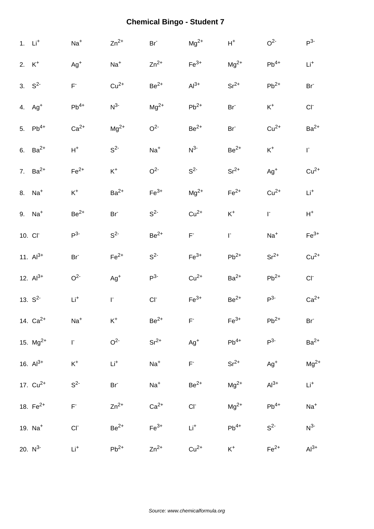|          | $1.$ $Li+$          | $Na+$                    | $Zn^{2+}$       | $Br-$          | $Mg^{2+}$      | $\mathsf{H}^+$     | O <sup>2</sup>     | $P^3$              |
|----------|---------------------|--------------------------|-----------------|----------------|----------------|--------------------|--------------------|--------------------|
| 2. $K^+$ |                     | $Ag^+$                   | $Na+$           | $Zn^{2+}$      | $Fe3+$         | $Mg^{2+}$          | $Pb^{4+}$          | $Li+$              |
|          | 3. $S^2$            | $\mathsf{F}^*$           | $Cu2+$          | $Be2+$         | $Al3+$         | $Sr^{2+}$          | $Pb^{2+}$          | Br <sup>-</sup>    |
|          | 4. $Ag+$            | $Pb^{4+}$                | $N^3$           | $Mg^{2+}$      | $Pb^{2+}$      | Br <sup>-</sup>    | $\mathsf{K}^+$     | CI <sub>1</sub>    |
|          | 5. $Pb^{4+}$        | $Ca2+$                   | $Mg^{2+}$       | O <sup>2</sup> | $Be2+$         | Br <sup>-</sup>    | $Cu2+$             | $Ba2+$             |
|          | 6. $Ba^{2+}$        | $H^+$                    | $S^2$           | $Na+$          | $N^3$          | $Be2+$             | $\mathsf{K}^+$     | $\mathsf{I}^*$     |
|          | 7. $Ba^{2+}$        | $Fe2+$                   | $\mathsf{K}^+$  | O <sup>2</sup> | $S^2$          | $Sr^{2+}$          | $Ag^{+}$           | $Cu2+$             |
|          | 8. $Na+$            | $\mathsf{K}^+$           | $Ba2+$          | $Fe3+$         | $Mg^{2+}$      | $Fe2+$             | $Cu2+$             | $Li+$              |
|          | 9. Na <sup>+</sup>  | $\rm Be^{2+}$            | Br <sup>-</sup> | $S^2$          | $Cu2+$         | $\mathsf{K}^+$     | $\mathsf{I}^*$     | $\mathsf{H}^+$     |
|          | 10. CI <sup>-</sup> | P <sup>3</sup>           | S <sup>2</sup>  | $Be2+$         | $F^+$          | $\Gamma$           | $Na+$              | $\mathsf{Fe}^{3+}$ |
|          | 11. $Al^{3+}$       | Br <sup>-</sup>          | $Fe2+$          | $S^2$          | $Fe3+$         | $Pb^{2+}$          | $Sr^{2+}$          | $Cu2+$             |
|          | 12. $Al^{3+}$       | O <sup>2</sup>           | $Ag^+$          | P <sup>3</sup> | $Cu2+$         | $Ba2+$             | $Pb^{2+}$          | $CI-$              |
|          | 13. $S^2$           | $\mathsf{Li}^+$          | F.              | $CI-$          | $Fe3+$         | $\mbox{Be}^{2+}$   | $P^3$              | $Ca2+$             |
|          | 14. $Ca^{2+}$       | $Na+$                    | $K^+$           | $Be2+$         | F.             | $\mathsf{Fe}^{3+}$ | $\mathsf{Pb}^{2+}$ | Br <sup>-</sup>    |
|          | 15. $Mg^{2+}$       | $\Gamma$                 | O <sup>2</sup>  | $Sr^{2+}$      | $Ag^{+}$       | $Pb^{4+}$          | $P^3$              | $Ba2+$             |
|          | 16. $Al^{3+}$       | $\mathsf{K}^+$           | $\mathsf{Li}^+$ | $Na+$          | $\mathsf{F}^*$ | $Sr^{2+}$          | $Ag^{+}$           | $Mg^{2+}$          |
|          | 17. $Cu^{2+}$       | $S^2$                    | Br <sup>-</sup> | $Na+$          | $Be2+$         | $Mg^{2+}$          | $Al3+$             | $Li^+$             |
|          | 18. $Fe^{2+}$       | $\mathsf{F}^{\text{-}}$  | $Zn^{2+}$       | $Ca2+$         | $CI^-$         | $Mg^{2+}$          | $Pb^{4+}$          | $\textsf{Na}^+$    |
|          | 19. $Na+$           | $\mathsf{CI}^{\text{-}}$ | $Be2+$          | $Fe3+$         | $Li+$          | $Pb^{4+}$          | $S^2$              | $N^{3-}$           |
|          | 20. $N^{3-}$        | $Li+$                    | $Pb^{2+}$       | $Zn^{2+}$      | $Cu2+$         | $K^+$              | $Fe2+$             | $Al^{3+}$          |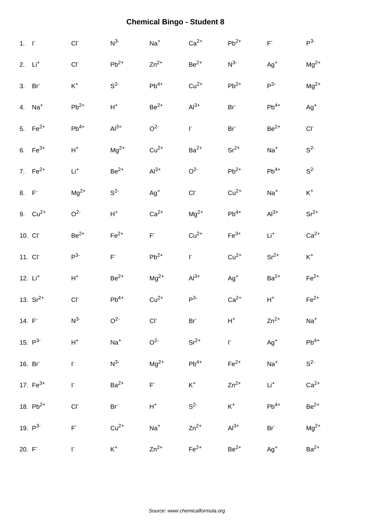| $1. \quad \Gamma$ |               | CI <sub>1</sub>          | $N^{3-}$           | $Na+$          | $Ca2+$           | $Pb^{2+}$          | $\mathsf{F}^*$     | $P^3$          |
|-------------------|---------------|--------------------------|--------------------|----------------|------------------|--------------------|--------------------|----------------|
|                   | $2.$ $Li+$    | CI                       | $\mathsf{Pb}^{2+}$ | $Zn^{2+}$      | $\mbox{Be}^{2+}$ | $N^{3-}$           | $Ag+$              | $Mg^{2+}$      |
|                   | 3. Br         | $\mathsf{K}^+$           | S <sup>2</sup>     | $Pb^{4+}$      | $Cu2+$           | $Pb^{2+}$          | $P^{3-}$           | $Mg^{2+}$      |
|                   | 4. $Na+$      | $\mathsf{Pb}^{2+}$       | $H^+$              | $Be2+$         | $Al3+$           | Br <sup>-</sup>    | $Pb^{4+}$          | $Ag^+$         |
|                   | 5. $Fe^{2+}$  | $Pb^{4+}$                | $Al^{3+}$          | O <sup>2</sup> | $\mathsf{I}^*$   | Br <sup>-</sup>    | $\rm Be^{2+}$      | $CI^-$         |
|                   | 6. $Fe^{3+}$  | $\mathsf{H}^+$           | $Mg^{2+}$          | $Cu2+$         | $Ba2+$           | $Sr^{2+}$          | $Na+$              | $S^2$          |
|                   | 7. $Fe^{2+}$  | $\mathsf{Li}^+$          | $Be2+$             | $Al^{3+}$      | O <sup>2</sup>   | $Pb^{2+}$          | $Pb^{4+}$          | $S^2$          |
| 8. F              |               | $\rm Mg^{2+}$            | $S^2$              | $Ag^{+}$       | $CI^-$           | $Cu2+$             | $Na+$              | $\mathsf{K}^+$ |
|                   | 9. $Cu^{2+}$  | O <sup>2</sup>           | $\mathsf{H}^+$     | $Ca2+$         | $Mg^{2+}$        | $Pb^{4+}$          | $Al^{3+}$          | $Sr^{2+}$      |
|                   | 10. CI        | $\mbox{Be}^{2+}$         | $\mathsf{Fe}^{2+}$ | $F^+$          | $Cu2+$           | $\mathsf{Fe}^{3+}$ | $Li+$              | $Ca2+$         |
|                   | 11. CI        | $P^3$                    | $\mathsf{F}^*$     | $Pb^{2+}$      | $\mathsf{L}$     | $Cu2+$             | $Sr^{2+}$          | $K^+$          |
|                   | 12. $Li+$     | $\mathsf{H}^+$           | $Be2+$             | $Mg^{2+}$      | $Al3+$           | $Ag+$              | $\mathsf{Ba}^{2+}$ | $Fe2+$         |
|                   | 13. $Sr^{2+}$ | CI <sub>1</sub>          | $Pb^{4+}$          | $Cu2+$         | P <sup>3</sup>   | $Ca2+$             | $\mathsf{H}^+$     | $Fe2+$         |
|                   | 14. $F^-$     | $N^3$                    | O <sup>2</sup>     | $CI-$          | Br <sup>-</sup>  | $\mathsf{H}^+$     | $Zn^{2+}$          | $Na+$          |
|                   | 15. $P^3$     | $\mathsf{H}^+$           | $Na+$              | O <sup>2</sup> | $Sr^{2+}$        | $\Gamma$           | $Ag+$              | $Pb^{4+}$      |
|                   | 16. Br        | $\mathsf{I}^*$           | $N^3$              | $Mg^{2+}$      | $Pb^{4+}$        | $\mathsf{Fe}^{2+}$ | $Na+$              | $S^2$          |
|                   | 17. $Fe^{3+}$ | $\mathsf{I}^*$           | $Ba2+$             | $\mathsf{F}^*$ | $K^+$            | $Zn^{2+}$          | $Li+$              | $Ca2+$         |
|                   | 18. $Pb^{2+}$ | $\mathsf{CI}^{\text{-}}$ | Br <sup>-</sup>    | $\mathsf{H}^+$ | $S^2$            | $K^+$              | $Pb^{4+}$          | $Be2+$         |
|                   | 19. $P^3$     | $\mathsf{F}^*$           | $Cu2+$             | $Na+$          | $Zn^{2+}$        | $Al3+$             | Br <sup>-</sup>    | $Mg^{2+}$      |
| 20. F             |               | F.                       | $K^+$              | $Zn^{2+}$      | $Fe2+$           | $Be2+$             | $Ag+$              | $Ba2+$         |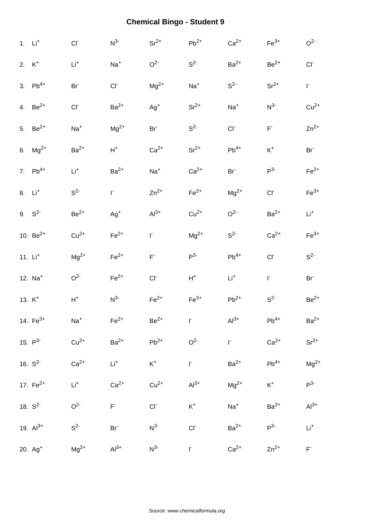|                      | 1. $Li+$      | $CI^-$             | $N^3$           | $Sr^{2+}$               | $Pb^{2+}$      | $Ca2+$          | $\mathsf{Fe}^{3+}$                            | O <sup>2</sup>     |
|----------------------|---------------|--------------------|-----------------|-------------------------|----------------|-----------------|-----------------------------------------------|--------------------|
| 2. $K^+$             |               | $Li+$              | $Na+$           | O <sup>2</sup>          | $S^2$          | $Ba2+$          | $Be2+$                                        | CI                 |
|                      | 3. $Pb^{4+}$  | Br <sup>-</sup>    | CI              | $Mg^{2+}$               | $Na+$          | $S2-$           | $Sr^{2+}$                                     | r.                 |
|                      | 4. $Be^{2+}$  | $CI^-$             | $Ba2+$          | $Ag+$                   | $Sr^{2+}$      | $Na+$           | N <sup>3</sup>                                | $Cu2+$             |
|                      | 5. $Be^{2+}$  | $Na+$              | $Mg^{2+}$       | Br <sup>-</sup>         | $S^2$          | CI              | $\mathsf{F}^{\scriptscriptstyle{\mathsf{c}}}$ | $Zn^{2+}$          |
|                      | 6. $Mg^{2+}$  | $\mathsf{Ba}^{2+}$ | $\mathsf{H}^+$  | $Ca2+$                  | $Sr^{2+}$      | $Pb^{4+}$       | $\mathsf{K}^+$                                | Br <sup>-</sup>    |
|                      | 7. $Pb^{4+}$  | $\mathsf{Li}^+$    | $Ba2+$          | $Na+$                   | $Ca2+$         | Br <sup>-</sup> | $P^3$                                         | $Fe2+$             |
| $8.$ Li <sup>+</sup> |               | $S^2$              | F.              | $Zn^{2+}$               | $Fe2+$         | $\rm Mg^{2+}$   | CI <sub>c</sub>                               | $\mathsf{Fe}^{3+}$ |
|                      | 9. $S^2$      | $Be2+$             | $Ag+$           | $Al^{3+}$               | $Cu2+$         | O <sup>2</sup>  | $Ba2+$                                        | $Li+$              |
|                      | 10. $Be^{2+}$ | $Cu2+$             | $Fe2+$          | r.                      | $Mg^{2+}$      | $S2-$           | $Ca2+$                                        | $Fe3+$             |
|                      | 11. $Li+$     | $\rm Mg^{2+}$      | $Fe2+$          | $\mathsf{F}^{\text{-}}$ | $P^3$          | $Pb^{4+}$       | CI <sub>c</sub>                               | $S^2$              |
|                      | 12. $Na+$     | O <sup>2</sup>     | $Fe2+$          | CI                      | $H^+$          | $Li+$           | $\mathsf{L}$                                  | $Br-$              |
|                      | 13. $K^+$     | $\mathsf{H}^+$     | $N^3$           | $Fe2+$                  | $Fe3+$         | $Pb^{2+}$       | $S^2$                                         | $Be2+$             |
|                      | 14. $Fe^{3+}$ | $Na+$              | $Fe2+$          | $Be2+$                  | $\Gamma$       | $Al3+$          | $\mathsf{Pb}^{4+}$                            | $Ba2+$             |
|                      | 15. $P^3$     | $Cu2+$             | $Ba2+$          | $Pb^{2+}$               | O <sup>2</sup> | $\mathsf{I}^*$  | $Ca2+$                                        | $Sr^{2+}$          |
|                      | 16. $S^2$     | $Ca2+$             | $Li+$           | $K^+$                   | $\Gamma^-$     | $Ba2+$          | $Pb^{4+}$                                     | $Mg^{2+}$          |
|                      | 17. $Fe^{2+}$ | $\mathsf{Li}^+$    | $Ca2+$          | $Cu2+$                  | $Al^{3+}$      | $Mg^{2+}$       | $K^+$                                         | $P3-$              |
|                      | 18. $S^2$     | O <sup>2</sup>     | $F^+$           | $CI^-$                  | $K^+$          | $Na+$           | $Ba2+$                                        | $Al^{3+}$          |
|                      | 19. $Al^{3+}$ | S <sup>2</sup>     | Br <sup>-</sup> | $N^3$                   | $CI-$          | $Ba2+$          | $P^3$                                         | $\mathsf{Li}^+$    |
|                      | $20. Ag+$     | $Mg^{2+}$          | $Al3+$          | $N^3$                   | $\Gamma$       | $Ca2+$          | $Zn^{2+}$                                     | $\mathsf{F}^*$     |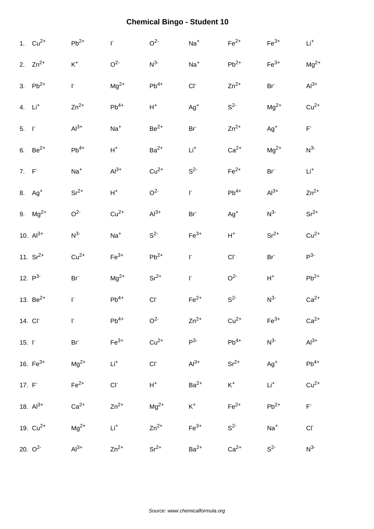|                   | 1. $Cu^{2+}$       | $\mathsf{Pb}^{2+}$ | $\Gamma$        | O <sup>2</sup>     | $Na+$           | $\mathsf{Fe}^{2+}$ | $\mathsf{Fe}^{3+}$ | $\mathsf{Li}^+$          |
|-------------------|--------------------|--------------------|-----------------|--------------------|-----------------|--------------------|--------------------|--------------------------|
|                   | 2. $Zn^{2+}$       | $K^+$              | O <sup>2</sup>  | $N^{3-}$           | $Na+$           | $Pb^{2+}$          | $Fe3+$             | $Mg^{2+}$                |
|                   | 3. $Pb^{2+}$       | $\Gamma$           | $Mg^{2+}$       | $\mathsf{Pb}^{4+}$ | CI              | $Zn^{2+}$          | Br <sup>-</sup>    | $Al3+$                   |
|                   | 4. $Li+$           | $Zn^{2+}$          | $Pb^{4+}$       | $H^+$              | $Ag^+$          | $S^2$              | $\rm Mg^{2+}$      | $Cu2+$                   |
| $5. \quad \Gamma$ |                    | $Al3+$             | $Na+$           | $Be2+$             | Br <sup>-</sup> | $Zn^{2+}$          | $Ag+$              | $\mathsf{F}^*$           |
|                   | 6. $Be^{2+}$       | $Pb^{4+}$          | $\mathsf{H}^+$  | $Ba2+$             | $Li+$           | $Ca2+$             | $Mg^{2+}$          | $N^3$                    |
| $7. F-$           |                    | $Na+$              | $Al3+$          | $Cu2+$             | S <sup>2</sup>  | $Fe2+$             | Br <sup>-</sup>    | $\mathsf{Li}^+$          |
|                   | 8. Ag <sup>+</sup> | $Sr^{2+}$          | $\mathsf{H}^+$  | O <sup>2</sup>     | $\mathsf{I}^*$  | $Pb^{4+}$          | $Al3+$             | $Zn^{2+}$                |
|                   | 9. $Mg^{2+}$       | O <sup>2</sup>     | $Cu2+$          | $Al^{3+}$          | Br <sup>-</sup> | $Ag+$              | $N^{3-}$           | $Sr^{2+}$                |
|                   | 10. $Al^{3+}$      | $N^{3-}$           | $Na+$           | S <sup>2</sup>     | $Fe3+$          | $H^+$              | $Sr^{2+}$          | $Cu2+$                   |
|                   | 11. $Sr^{2+}$      | $Cu2+$             | $Fe3+$          | $Pb^{2+}$          | $\mathsf{I}^*$  | $CI-$              | Br <sup>-</sup>    | $P^3$                    |
|                   | 12. $P^3$          | Br <sup>-</sup>    | $Mg^{2+}$       | $Sr^{2+}$          | $\Gamma$        | $\rm O^{2-}$       | $H^+$              | $Pb^{2+}$                |
|                   | 13. $Be^{2+}$      | $\mathsf{I}^*$     | $Pb^{4+}$       | $CI-$              | $Fe2+$          | $S^2$              | $N^3$              | $Ca2+$                   |
|                   | 14. CI             | $\Gamma$           | $Pb^{4+}$       | O <sup>2</sup>     | $Zn^{2+}$       | $Cu2+$             | $\mathsf{Fe}^{3+}$ | $Ca2+$                   |
| $15. \Gamma$      |                    | Br <sup>-</sup>    | $Fe3+$          | $Cu2+$             | $P^3$           | $Pb^{4+}$          | $N^{3-}$           | $Al3+$                   |
|                   | 16. $Fe^{3+}$      | $Mg^{2+}$          | $\mathsf{Li}^+$ | $CI^-$             | $Al3+$          | $Sr^{2+}$          | $Ag^{+}$           | $\mathsf{Pb}^{4+}$       |
|                   | 17. $F^-$          | $Fe2+$             | $CI^-$          | $H^+$              | $Ba2+$          | $K^+$              | $Li+$              | $Cu2+$                   |
|                   | 18. $Al^{3+}$      | $Ca2+$             | $Zn^{2+}$       | $Mg^{2+}$          | $K^+$           | $Fe2+$             | $Pb^{2+}$          | $\mathsf{F}^*$           |
|                   | 19. $Cu^{2+}$      | $Mg^{2+}$          | $Li+$           | $Zn^{2+}$          | $Fe3+$          | $S^2$              | $Na+$              | $\mathsf{CI}^{\text{-}}$ |
|                   | 20. $Q^2$          | $Al^{3+}$          | $Zn^{2+}$       | $Sr^{2+}$          | $Ba2+$          | $Ca2+$             | $S^2$              | $N^3$                    |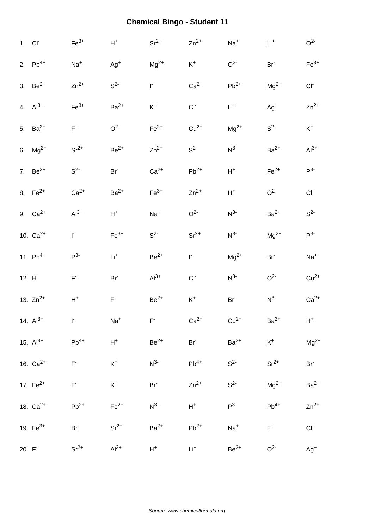|       | 1. CI <sup>-</sup> | $Fe3+$                                      | $\mathsf{H}^+$  | $Sr^{2+}$       | $Zn^{2+}$       | $Na+$           | $\mathsf{Li}^+$    | O <sup>2</sup>  |
|-------|--------------------|---------------------------------------------|-----------------|-----------------|-----------------|-----------------|--------------------|-----------------|
|       | 2. $Pb^{4+}$       | $Na+$                                       | $Ag+$           | $Mg^{2+}$       | $K^+$           | O <sup>2</sup>  | Br <sup>-</sup>    | $Fe3+$          |
|       | 3. $Be^{2+}$       | $Zn^{2+}$                                   | $S^2$           | r.              | $Ca2+$          | $Pb^{2+}$       | $Mg^{2+}$          | $CI^-$          |
|       | 4. $Al^{3+}$       | $Fe3+$                                      | $Ba2+$          | $\mathsf{K}^+$  | $CI-$           | $Li^+$          | $Ag+$              | $Zn^{2+}$       |
|       | 5. $Ba^{2+}$       | $\mathsf{F}^*$                              | O <sup>2</sup>  | $Fe2+$          | $Cu2+$          | $Mg^{2+}$       | $S^2$              | $K^+$           |
|       | 6. $Mg^{2+}$       | $Sr^{2+}$                                   | $Be^{2+}$       | $Zn^{2+}$       | S <sup>2</sup>  | $N^3$           | $Ba2+$             | $Al3+$          |
|       | 7. $Be^{2+}$       | S <sup>2</sup>                              | Br <sup>-</sup> | $Ca2+$          | $Pb^{2+}$       | $H^+$           | $Fe2+$             | P <sup>3</sup>  |
|       | 8. $Fe^{2+}$       | $Ca2+$                                      | $Ba2+$          | $Fe3+$          | $Zn^{2+}$       | $\mathsf{H}^+$  | O <sup>2</sup>     | CI              |
|       | 9. $Ca^{2+}$       | $Al3+$                                      | $H^+$           | $Na+$           | O <sup>2</sup>  | $N^3$           | $Ba2+$             | $S^2$           |
|       | 10. $Ca^{2+}$      | r.                                          | $Fe3+$          | S <sup>2</sup>  | $Sr^{2+}$       | $N^{3-}$        | $\rm Mg^{2+}$      | P <sup>3</sup>  |
|       | 11. $Pb^{4+}$      | $P^3$                                       | $Li+$           | $\rm Be^{2+}$   | $\Gamma$        | $Mg^{2+}$       | Br <sup>-</sup>    | $Na+$           |
|       | 12. $H^+$          | $\mathsf{F}^{\text{-}}$                     | Br <sup>-</sup> | $Al3+$          | CI              | $N^{3-}$        | O <sup>2</sup>     | $Cu2+$          |
|       | 13. $Zn^{2+}$      | $\mathsf{H}^+$                              | $\mathsf{F}^*$  | $Be2+$          | $\mathsf{K}^+$  | Br <sup>-</sup> | $N^3$              | $Ca2+$          |
|       | 14. $Al^{3+}$      | $\mathbf{r}$                                | $Na+$           | $F^-$           | $Ca2+$          | $Cu2+$          | $\mathsf{Ba}^{2+}$ | $H^+$           |
|       | 15. $Al^{3+}$      | $Pb^{4+}$                                   | $\mathsf{H}^+$  | $Be^{2+}$       | Br <sup>-</sup> | $Ba2+$          | $K^+$              | $Mg^{2+}$       |
|       | 16. $Ca^{2+}$      | $\mathsf{F}^{\text{-}}$                     | $\mathsf{K}^+$  | $N^3$           | $Pb^{4+}$       | S <sup>2</sup>  | $Sr^{2+}$          | Br <sup>-</sup> |
|       | 17. $Fe^{2+}$      | $\mathsf{F}^{\scriptscriptstyle\mathsf{L}}$ | $\mathsf{K}^+$  | Br <sup>-</sup> | $Zn^{2+}$       | $S^2$           | $Mg^{2+}$          | $Ba2+$          |
|       | 18. $Ca^{2+}$      | $Pb^{2+}$                                   | $Fe2+$          | $N^{3-}$        | $H^+$           | $P3-$           | $Pb^{4+}$          | $Zn^{2+}$       |
|       | 19. $Fe^{3+}$      | Br <sup>-</sup>                             | $Sr^{2+}$       | $Ba2+$          | $Pb^{2+}$       | $Na+$           | $\mathsf{F}^*$     | $CI^-$          |
| 20. F |                    | $Sr2+$                                      | $Al3+$          | $H^+$           | $Li+$           | $Be2+$          | O <sup>2</sup>     | $Ag^{+}$        |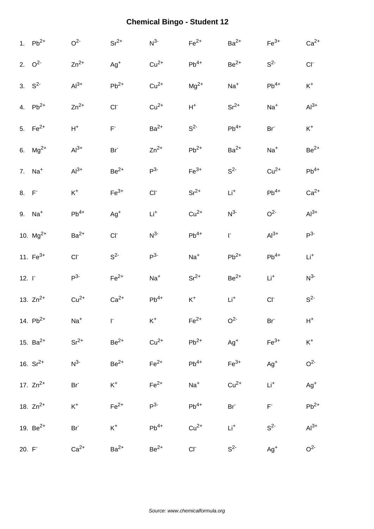|              | 1. $Pb^{2+}$         | O <sup>2</sup>  | $Sr^{2+}$          | $N^3$           | $Fe2+$             | $Ba2+$             | $Fe3+$          | $Ca2+$         |
|--------------|----------------------|-----------------|--------------------|-----------------|--------------------|--------------------|-----------------|----------------|
|              | 2. $Q^2$             | $Zn^{2+}$       | $Ag^+$             | $Cu2+$          | $Pb^{4+}$          | $Be2+$             | S <sup>2</sup>  | CI             |
|              | 3. $S^2$             | $Al3+$          | $\mathsf{Pb}^{2+}$ | $Cu2+$          | $Mg^{2+}$          | $Na+$              | $Pb^{4+}$       | $K^+$          |
|              | 4. $Pb^{2+}$         | $Zn^{2+}$       | $CI-$              | $Cu2+$          | $H^+$              | $Sr^{2+}$          | $Na+$           | $Al3+$         |
|              | 5. $Fe^{2+}$         | $H^+$           | $F^{\circ}$        | $Ba2+$          | S <sup>2</sup>     | $Pb^{4+}$          | Br <sup>-</sup> | $K^+$          |
|              | 6. $Mg^{2+}$         | $Al3+$          | $Br-$              | $Zn^{2+}$       | $\mathsf{Pb}^{2+}$ | $\mathsf{Ba}^{2+}$ | $Na+$           | $Be2+$         |
|              | 7. $Na+$             | $Al3+$          | $Be^{2+}$          | $P^3$           | $Fe3+$             | S <sup>2</sup>     | $Cu2+$          | $Pb^{4+}$      |
| 8. F         |                      | $\mathsf{K}^+$  | $Fe3+$             | CI <sub>c</sub> | $Sr^{2+}$          | $Li+$              | $Pb^{4+}$       | $Ca2+$         |
|              | $9.$ Na <sup>+</sup> | $Pb^{4+}$       | $Ag+$              | $Li+$           | $Cu2+$             | $N^3$              | O <sup>2</sup>  | $Al^{3+}$      |
|              | 10. $Mg^{2+}$        | $Ba2+$          | $CI-$              | $N^3$           | $Pb^{4+}$          | F.                 | $Al3+$          | $P^3$          |
|              | 11. $Fe^{3+}$        | $CI-$           | $S^2$              | P <sup>3</sup>  | $Na+$              | $\mathsf{Pb}^{2+}$ | $Pb^{4+}$       | $Li+$          |
| $12. \Gamma$ |                      | $P^3$           | $Fe2+$             | $Na+$           | $Sr^{2+}$          | $Be2+$             | $Li+$           | $N^3$          |
|              | 13. $Zn^{2+}$        | $Cu2+$          | $Ca2+$             | $Pb^{4+}$       | $K^+$              | $Li+$              | CI              | $S^2$          |
|              | 14. $Pb^{2+}$        | $Na+$           | $\Gamma$           | $K^+$           | $\mathsf{Fe}^{2+}$ | O <sup>2</sup>     | Br <sup>-</sup> | $H^+$          |
|              | 15. $Ba^{2+}$        | $Sr^{2+}$       | $Be2+$             | $Cu2+$          | $Pb^{2+}$          | $Ag+$              | $Fe3+$          | $\mathsf{K}^+$ |
|              | 16. $Sr^{2+}$        | $N^3$           | $Be^{2+}$          | $Fe2+$          | $Pb^{4+}$          | $\mathsf{Fe}^{3+}$ | $Ag^{+}$        | O <sup>2</sup> |
|              | 17. $Zn^{2+}$        | Br <sup>-</sup> | $K^+$              | $Fe2+$          | $Na+$              | $Cu2+$             | $\mathsf{Li}^+$ | $Ag^{+}$       |
|              | 18. $Zn^{2+}$        | $K^+$           | $Fe2+$             | $P^{3-}$        | $Pb^{4+}$          | Br <sup>-</sup>    | $\mathsf{F}^*$  | $Pb^{2+}$      |
|              | 19. $Be^{2+}$        | Br <sup>-</sup> | $K^+$              | $Pb^{4+}$       | $Cu2+$             | $Li+$              | S <sup>2</sup>  | $Al3+$         |
| $20. F-$     |                      | $Ca2+$          | $Ba2+$             | $Be2+$          | $CI^-$             | S <sup>2</sup>     | $Ag^{+}$        | O <sup>2</sup> |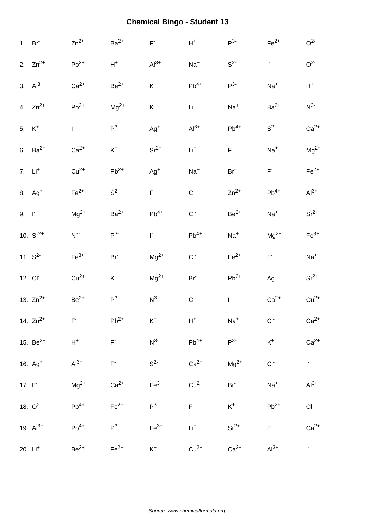|                     | 1. Br               | $Zn^{2+}$          | $Ba2+$                  | $\mathsf{F}^*$ | $\mathsf{H}^+$     | $P^3$           | $\mathsf{Fe}^{2+}$      | O <sup>2</sup>           |
|---------------------|---------------------|--------------------|-------------------------|----------------|--------------------|-----------------|-------------------------|--------------------------|
|                     | 2. $Zn^{2+}$        | $\mathsf{Pb}^{2+}$ | $\mathsf{H}^+$          | $Al3+$         | $Na+$              | $S^2$           | $\mathsf{I}^*$          | O <sup>2</sup>           |
|                     | 3. $Al^{3+}$        | $Ca2+$             | $Be2+$                  | $K^+$          | $\mathsf{Pb}^{4+}$ | $P^3$           | $Na+$                   | $H^+$                    |
|                     | 4. $Zn^{2+}$        | $\mathsf{Pb}^{2+}$ | $Mg^{2+}$               | $\mathsf{K}^+$ | $Li+$              | $Na+$           | $Ba2+$                  | $N^3$                    |
| 5. $K^+$            |                     | $\Gamma$           | P <sup>3</sup>          | $Ag+$          | $Al^{3+}$          | $Pb^{4+}$       | $S^2$                   | $Ca2+$                   |
|                     | 6. $Ba^{2+}$        | $Ca2+$             | $\mathsf{K}^+$          | $Sr^{2+}$      | $Li+$              | $\mathsf{F}^*$  | $Na+$                   | $Mg^{2+}$                |
|                     | 7. $Li+$            | $Cu2+$             | $Pb^{2+}$               | $Ag^{+}$       | $Na+$              | Br <sup>-</sup> | $\mathsf{F}^{\text{-}}$ | $Fe2+$                   |
|                     | 8. $Ag+$            | $\mathsf{Fe}^{2+}$ | $S^2$                   | $\mathsf{F}^*$ | $CI^-$             | $Zn^{2+}$       | $Pb^{4+}$               | $Al3+$                   |
| $9. \quad \Gamma$   |                     | $Mg^{2+}$          | $Ba2+$                  | $Pb^{4+}$      | $CI^-$             | $\rm Be^{2+}$   | $Na+$                   | $Sr^{2+}$                |
|                     | 10. $Sr^{2+}$       | $N^{3-}$           | P <sup>3</sup>          | F.             | $Pb^{4+}$          | $Na+$           | $Mg^{2+}$               | $Fe3+$                   |
|                     | 11. $S^2$           | $Fe3+$             | $Br^-$                  | $Mg^{2+}$      | $CI^-$             | $Fe2+$          | $\mathsf{F}^*$          | $Na+$                    |
| 12. Cl <sup>-</sup> |                     | $Cu2+$             | $\mathsf{K}^+$          | $Mg^{2+}$      | Br <sup>-</sup>    | $Pb^{2+}$       | $Ag+$                   | $Sr^{2+}$                |
|                     | 13. $Zn^{2+}$       | $Be2+$             | P <sup>3</sup>          | $N^3$          | $CI^-$             | $\mathsf{I}^*$  | $Ca2+$                  | $Cu2+$                   |
|                     | 14. $Zn^{2+}$       | F                  | $\mathsf{Pb}^{2+}$      | $K^+$          | $H^+$              | $Na+$           | CI                      | $Ca2+$                   |
|                     | 15. $Be^{2+}$       | $H^+$              | $\mathsf{F}^{\text{-}}$ | $N^{3-}$       | $Pb^{4+}$          | $P^3$           | $\mathsf{K}^+$          | $Ca2+$                   |
|                     | 16. Ag <sup>+</sup> | $Al3+$             | $\mathsf{F}^*$          | $S^2$          | $Ca2+$             | $Mg^{2+}$       | $CI-$                   | $\Gamma$                 |
| $17. F-$            |                     | $Mg^{2+}$          | $Ca2+$                  | $Fe3+$         | $Cu2+$             | Br <sup>-</sup> | $Na+$                   | $Al^{3+}$                |
|                     | 18. $O^2$           | $Pb^{4+}$          | $Fe2+$                  | $P^3$          | $F^*$              | $K^+$           | $Pb^{2+}$               | $\mathsf{CI}^{\text{-}}$ |
|                     | 19. $Al^{3+}$       | $Pb^{4+}$          | P <sup>3</sup>          | $Fe3+$         | $Li^{+}$           | $Sr^{2+}$       | $\mathsf{F}^*$          | $Ca2+$                   |
|                     | 20. Li <sup>+</sup> | $Be2+$             | $Fe2+$                  | $K^+$          | $Cu2+$             | $Ca2+$          | $Al3+$                  | $\Gamma^-$               |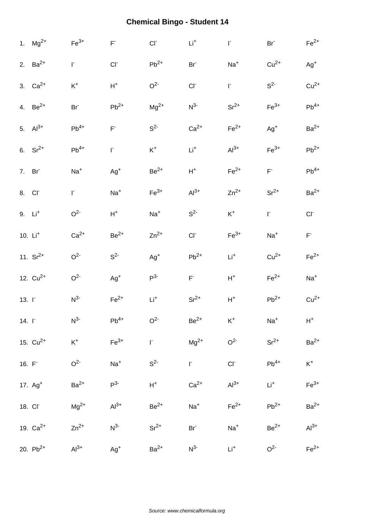|              | 1. $Mg^{2+}$        | $Fe3+$          | $\mathsf{F}^{\text{-}}$ | $CI-$              | $\mathsf{Li}^+$         | $\mathsf{I}^*$ | Br <sup>-</sup>    | $Fe2+$             |
|--------------|---------------------|-----------------|-------------------------|--------------------|-------------------------|----------------|--------------------|--------------------|
|              | 2. $Ba^{2+}$        | $\Gamma$        | CI                      | $Pb^{2+}$          | Br <sup>-</sup>         | $Na+$          | $Cu2+$             | $Ag+$              |
|              | 3. $Ca^{2+}$        | $\mathsf{K}^+$  | $H^+$                   | O <sup>2</sup>     | $CI-$                   | $\Gamma$       | S <sup>2</sup>     | $Cu2+$             |
|              | 4. $Be^{2+}$        | Br <sup>-</sup> | $Pb^{2+}$               | $\rm Mg^{2+}$      | $N^3$                   | $Sr^{2+}$      | $Fe3+$             | $Pb^{4+}$          |
|              | 5. $Al^{3+}$        | $Pb^{4+}$       | $\mathsf{F}^{\text{-}}$ | $S^2$              | $Ca2+$                  | $Fe2+$         | $Ag+$              | $Ba2+$             |
|              | 6. $Sr^{2+}$        | $Pb^{4+}$       | $\Gamma$                | $\mathsf{K}^+$     | $\mathsf{Li}^+$         | $Al3+$         | $Fe3+$             | $Pb^{2+}$          |
|              | 7. Br               | $Na+$           | $Ag+$                   | $Be2+$             | $H^+$                   | $Fe2+$         | $\mathsf{F}^*$     | $Pb^{4+}$          |
|              | 8. CI               | r.              | $Na+$                   | $\mathsf{Fe}^{3+}$ | $Al3+$                  | $Zn^{2+}$      | $Sr^{2+}$          | $Ba2+$             |
|              | 9. Li <sup>+</sup>  | O <sup>2</sup>  | $\mathsf{H}^+$          | $Na+$              | $S^2$                   | $K^+$          | $\Gamma$           | $CI-$              |
|              | 10. $Li+$           | $Ca2+$          | $\mbox{Be}^{2+}$        | $Zn^{2+}$          | $CI-$                   | $Fe3+$         | $Na+$              | $\mathsf{F}^*$     |
|              | 11. $Sr^{2+}$       | O <sup>2</sup>  | $S^2$                   | $Ag+$              | $Pb^{2+}$               | $Li+$          | $Cu2+$             | $\mathsf{Fe}^{2+}$ |
|              | 12. $Cu^{2+}$       | O <sup>2</sup>  | $Ag+$                   | $P^3$              | $\mathsf{F}^{\text{-}}$ | $H^+$          | $\mathsf{Fe}^{2+}$ | $Na+$              |
| 13. $\Gamma$ |                     | N <sup>3</sup>  | $Fe2+$                  | $Li+$              | $Sr^{2+}$               | $\mathsf{H}^+$ | $Pb^{2+}$          | $Cu2+$             |
| $14. \Gamma$ |                     | $N^{3-}$        | $Pb^{4+}$               | O <sup>2</sup>     | $Be2+$                  | $\mathsf{K}^+$ | $Na+$              | $H^+$              |
|              | 15. $Cu^{2+}$       | $\mathsf{K}^+$  | $Fe3+$                  | $\mathsf{I}^*$     | $Mg^{2+}$               | O <sup>2</sup> | $Sr^{2+}$          | $Ba2+$             |
| 16. $F^-$    |                     | O <sup>2</sup>  | $Na+$                   | $S^2$              | $\Gamma$                | $CI^-$         | $Pb^{4+}$          | $K^+$              |
|              | 17. Ag <sup>+</sup> | $Ba2+$          | $P^{3-}$                | $\mathsf{H}^+$     | $Ca2+$                  | $Al3+$         | $Li+$              | $Fe3+$             |
|              | 18. CI              | $Mg^{2+}$       | $Al3+$                  | $Be2+$             | $Na+$                   | $Fe2+$         | $Pb^{2+}$          | $Ba2+$             |
|              | 19. $Ca^{2+}$       | $Zn^{2+}$       | $N^{3-}$                | $Sr^{2+}$          | Br <sup>-</sup>         | $Na+$          | $Be2+$             | $Al3+$             |
|              | 20. $Pb^{2+}$       | $Al3+$          | $Ag+$                   | $Ba2+$             | $N^{3-}$                | $Li^{+}$       | O <sup>2</sup>     | $\mathsf{Fe}^{2+}$ |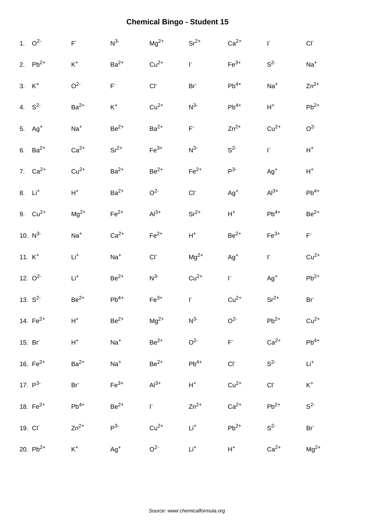| 1. $Q^2$           | $\mathsf{F}^*$   | $N^3$                   | $Mg^{2+}$        | $Sr^{2+}$       | $Ca2+$                  | $\mathsf{I}^*$     | $CI^-$                       |
|--------------------|------------------|-------------------------|------------------|-----------------|-------------------------|--------------------|------------------------------|
| 2. $Pb^{2+}$       | $\mathsf{K}^+$   | $Ba2+$                  | $Cu2+$           | $\mathsf{I}^*$  | $Fe3+$                  | S <sup>2</sup>     | $Na+$                        |
| 3. $K^+$           | O <sup>2</sup>   | $\mathsf{F}^{\text{-}}$ | $CI^-$           | Br <sup>-</sup> | $\mathsf{Pb}^{4+}$      | $Na+$              | $Zn^{2+}$                    |
| 4. $S^2$           | $Ba2+$           | $\mathsf{K}^+$          | $Cu2+$           | $N^3$           | $Pb^{4+}$               | $H^+$              | $Pb^{2+}$                    |
| 5. $Ag+$           | $Na+$            | $Be2+$                  | $Ba2+$           | $\mathsf{F}^*$  | $Zn^{2+}$               | $Cu2+$             | O <sup>2</sup>               |
| 6. $Ba^{2+}$       | $Ca2+$           | $Sr^{2+}$               | $Fe3+$           | $N^3$           | S <sup>2</sup>          | $\mathsf{I}^*$     | $H^+$                        |
| 7. $Ca^{2+}$       | $Cu2+$           | $Ba2+$                  | $\mbox{Be}^{2+}$ | $Fe2+$          | $P^3$                   | $Ag^{+}$           | $H^+$                        |
| 8. Li <sup>+</sup> | $\mathsf{H}^+$   | $Ba2+$                  | O <sup>2</sup>   | $CI^-$          | $Ag^+$                  | $Al3+$             | $\mathsf{Pb}^{4+}$           |
| 9. $Cu^{2+}$       | $Mg^{2+}$        | $Fe2+$                  | $Al3+$           | $Sr^{2+}$       | $H^+$                   | $Pb^{4+}$          | $Be^{2+}$                    |
| 10. $N^3$          | $Na+$            | $Ca2+$                  | $Fe2+$           | $H^+$           | $\rm Be^{2+}$           | $\mathsf{Fe}^{3+}$ | $\mathsf{F}^*$               |
| 11. $K^+$          | $Li+$            | $Na+$                   | $CI-$            | $\rm Mg^{2+}$   | $Ag+$                   | $\mathsf{I}^*$     | $Cu2+$                       |
|                    |                  |                         |                  |                 |                         |                    |                              |
| 12. $O^2$          | $\mathsf{Li}^+$  | $Be2+$                  | $N^3$            | $Cu2+$          | $\Gamma$                | $Ag+$              |                              |
| 13. $S^2$          | $\mbox{Be}^{2+}$ | $Pb^{4+}$               | $Fe3+$           | $\mathsf{I}^*$  | $Cu2+$                  | $Sr^{2+}$          | $Pb^{2+}$<br>Br <sup>-</sup> |
| 14. $Fe^{2+}$      | $H^+$            | $Be2+$                  | $\rm Mg^{2+}$    | $N^{3-}$        | O <sup>2</sup>          | $\mathsf{Pb}^{2+}$ | $Cu2+$                       |
| 15. Br             | $H^+$            | $Na+$                   | $Be2+$           | O <sup>2</sup>  | $\mathsf{F}^{\text{-}}$ | $Ca2+$             | $Pb^{4+}$                    |
| 16. $Fe^{2+}$      | $Ba2+$           | $Na+$                   | $Be2+$           | $Pb^{4+}$       | $CI-$                   | $S^2$              | $\mathsf{Li}^+$              |
| 17. $P^3$          | $Br^-$           | $Fe3+$                  | $Al3+$           | $H^+$           | $Cu2+$                  | $CI^-$             | $\mathsf{K}^+$               |
| 18. $Fe^{2+}$      | $Pb^{4+}$        | $Be2+$                  | F.               | $Zn^{2+}$       | $Ca2+$                  | $Pb^{2+}$          | $S^2$                        |
| 19. CI             | $Zn^{2+}$        | $P3-$                   | $Cu2+$           | $Li^{+}$        | $Pb^{2+}$               | S <sup>2</sup>     | Br <sup>-</sup>              |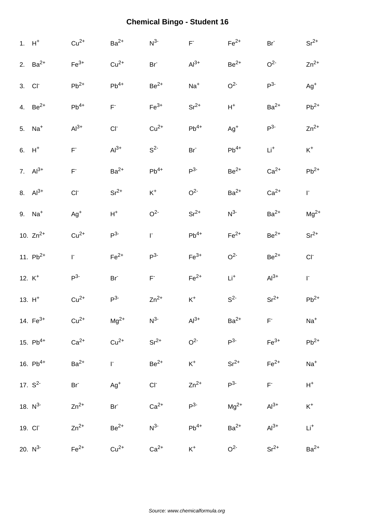| $1. H+$              | $Cu2+$                  | $Ba2+$         | $N^3$           | $\mathsf{F}^*$     | $Fe2+$         | Br <sup>-</sup> | $Sr^{2+}$          |
|----------------------|-------------------------|----------------|-----------------|--------------------|----------------|-----------------|--------------------|
| 2. $Ba^{2+}$         | $Fe3+$                  | $Cu2+$         | Br <sup>-</sup> | $Al3+$             | $Be^{2+}$      | O <sup>2</sup>  | $Zn^{2+}$          |
| 3. Cl <sup>-</sup>   | $Pb^{2+}$               | $Pb^{4+}$      | $Be2+$          | $Na+$              | O <sup>2</sup> | $P^3$           | $Ag+$              |
| 4. $Be^{2+}$         | $\mathsf{Pb}^{4+}$      | $F^{\dagger}$  | $Fe3+$          | $Sr^{2+}$          | $H^+$          | $Ba2+$          | $Pb^{2+}$          |
| $5.$ Na <sup>+</sup> | $Al3+$                  | CI             | $Cu2+$          | $Pb^{4+}$          | $Ag+$          | $P3-$           | $Zn^{2+}$          |
| $6. H+$              | $\mathsf{F}^{\text{-}}$ | $Al3+$         | $S^2$           | Br <sup>-</sup>    | $Pb^{4+}$      | $Li+$           | $K^+$              |
| 7. $Al^{3+}$         | $\mathsf{F}^*$          | $Ba2+$         | $Pb^{4+}$       | $P^3$              | $Be^{2+}$      | $Ca2+$          | $\mathsf{Pb}^{2+}$ |
| 8. $Al^{3+}$         | CI                      | $Sr^{2+}$      | $\mathsf{K}^+$  | O <sup>2</sup>     | $Ba2+$         | $Ca2+$          | $\Gamma$           |
| 9. Na <sup>+</sup>   | $Ag+$                   | $\mathsf{H}^+$ | O <sup>2</sup>  | $Sr^{2+}$          | $N^{3-}$       | $Ba2+$          | $Mg^{2+}$          |
| 10. $Zn^{2+}$        | $Cu2+$                  | P <sup>3</sup> | r.              | $\mathsf{Pb}^{4+}$ | $Fe2+$         | $Be2+$          | $Sr^{2+}$          |
| 11. $Pb^{2+}$        | r.                      | $Fe2+$         | $P^3$           | $Fe3+$             | O <sup>2</sup> | $Be2+$          | $CI^-$             |
| 12. $K^+$            | P <sup>3</sup>          | $Br-$          | $\mathsf{F}^*$  | $Fe2+$             | $Li+$          | $Al3+$          | $\mathsf{I}^*$     |
| $13. H+$             | $Cu2+$                  | $P3-$          | $Zn^{2+}$       | $\mathsf{K}^+$     | S <sup>2</sup> | $Sr^{2+}$       | $Pb^{2+}$          |
| 14. $Fe^{3+}$        | $Cu2+$                  | $\rm Mg^{2+}$  | $N^3$           | $Al3+$             | $Ba2+$         | F               | $Na+$              |
| 15. $Pb^{4+}$        | $Ca2+$                  | $Cu2+$         | $Sr^{2+}$       | O <sup>2</sup>     | $P^{3-}$       | $Fe3+$          | $Pb^{2+}$          |
| 16. $Pb^{4+}$        | $Ba2+$                  | r.             | $\rm Be^{2+}$   | $K^+$              | $Sr^{2+}$      | $Fe2+$          | $Na+$              |
| 17. $S^2$            | $Br^-$                  | $Ag^{+}$       | $Cl^-$          | $Zn^{2+}$          | $P^{3-}$       | $\mathsf{F}^*$  | $H^+$              |
| 18. $N^3$            | $Zn^{2+}$               | $Br-$          | $Ca2+$          | $P^{3-}$           | $Mg^{2+}$      | $Al3+$          | $\mathsf{K}^+$     |
| 19. CI               | $Zn^{2+}$               | $Be2+$         | $N^{3-}$        | $Pb^{4+}$          | $Ba2+$         | $Al3+$          | $\mathsf{Li}^+$    |
| 20. $N^3$            | $Fe2+$                  | $Cu2+$         | $Ca2+$          | $K^+$              | O <sup>2</sup> | $Sr2+$          | $Ba2+$             |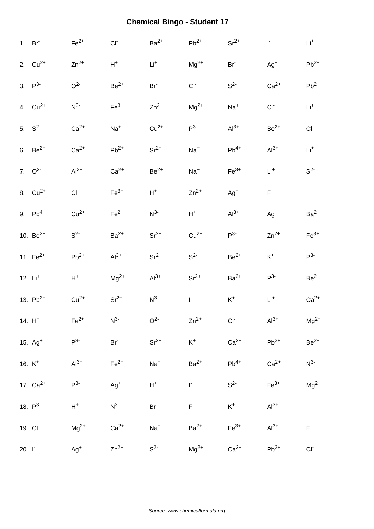|          | 1. Br         | $Fe2+$          | $CI-$              | $Ba2+$          | $\mathsf{Pb}^{2+}$                            | $Sr^{2+}$          | $\mathsf{I}^*$  | $\mathsf{Li}^+$    |
|----------|---------------|-----------------|--------------------|-----------------|-----------------------------------------------|--------------------|-----------------|--------------------|
|          | 2. $Cu^{2+}$  | $Zn^{2+}$       | $H^+$              | $Li+$           | $\rm Mg^{2+}$                                 | Br <sup>-</sup>    | $Ag^{+}$        | $Pb^{2+}$          |
|          | 3. $P^3$      | O <sup>2</sup>  | $\mbox{Be}^{2+}$   | Br <sup>-</sup> | $CI^-$                                        | $S2-$              | $Ca2+$          | $\mathsf{Pb}^{2+}$ |
|          | 4. $Cu^{2+}$  | $N^{3-}$        | $\mathsf{Fe}^{3+}$ | $Zn^{2+}$       | $Mg^{2+}$                                     | $Na+$              | $CI^-$          | $Li+$              |
|          | 5. $S^2$      | $Ca2+$          | $Na+$              | $Cu2+$          | $P^3$                                         | $Al^{3+}$          | $Be2+$          | CI                 |
|          | 6. $Be^{2+}$  | $Ca2+$          | $\mathsf{Pb}^{2+}$ | $Sr^{2+}$       | $Na+$                                         | $Pb^{4+}$          | $Al3+$          | $Li+$              |
|          | 7. $Q^2$      | $Al3+$          | $Ca2+$             | $Be2+$          | $Na+$                                         | $\mathsf{Fe}^{3+}$ | $Li+$           | $S^2$              |
|          | 8. $Cu^{2+}$  | CI <sub>c</sub> | $Fe3+$             | $\mathsf{H}^+$  | $Zn^{2+}$                                     | $Ag^+$             | $\mathsf{F}^*$  | $\Gamma$           |
|          | 9. $Pb^{4+}$  | $Cu2+$          | $Fe2+$             | $N^{3-}$        | $H^+$                                         | $Al3+$             | $Ag+$           | $Ba2+$             |
|          | 10. $Be^{2+}$ | $S^2$           | $Ba2+$             | $Sr^{2+}$       | $Cu2+$                                        | $P^3$              | $Zn^{2+}$       | $Fe3+$             |
|          | 11. $Fe^{2+}$ | $Pb^{2+}$       | $Al3+$             | $Sr^{2+}$       | $S^2$                                         | $Be2+$             | $\mathsf{K}^+$  | $P^{3-}$           |
|          | 12. $Li+$     | $\mathsf{H}^+$  | $\rm Mg^{2+}$      | $Al3+$          | $Sr^{2+}$                                     | $Ba2+$             | $P^3$           | $Be^{2+}$          |
|          | 13. $Pb^{2+}$ | $Cu2+$          | $Sr^{2+}$          | $N^3$           | $\Gamma$                                      | $\mathsf{K}^+$     | $\mathsf{Li}^+$ | $Ca2+$             |
|          | 14. $H^+$     | $Fe2+$          | $N^3$              | O <sup>2</sup>  | $Zn^{2+}$                                     | $CI^-$             | $Al3+$          | $Mg^{2+}$          |
|          | 15. $Ag+$     | $P^3$           | $Br^-$             | $Sr^{2+}$       | $K^+$                                         | $Ca2+$             | $Pb^{2+}$       | $Be^{2+}$          |
|          | 16. $K^+$     | $Al3+$          | $Fe2+$             | $Na+$           | $Ba2+$                                        | $Pb^{4+}$          | $Ca2+$          | $N^{3-}$           |
|          | 17. $Ca^{2+}$ | $P^3$           | $Ag+$              | $\mathsf{H}^+$  | $\mathsf{I}^*$                                | $S^2$              | $Fe3+$          | $Mg^{2+}$          |
|          | 18. $P^3$     | $H^+$           | $N^3$              | Br <sup>-</sup> | $\mathsf{F}^{\scriptscriptstyle{\mathsf{T}}}$ | $K^+$              | $Al3+$          | $\mathsf{I}^*$     |
|          | 19. CI        | $Mg^{2+}$       | $Ca2+$             | $Na+$           | $Ba2+$                                        | $Fe3+$             | $Al3+$          | $\mathsf{F}^*$     |
| $20. I-$ |               | $Ag+$           | $Zn^{2+}$          | S <sup>2</sup>  | $Mg^{2+}$                                     | $Ca2+$             | $Pb^{2+}$       | $CI^-$             |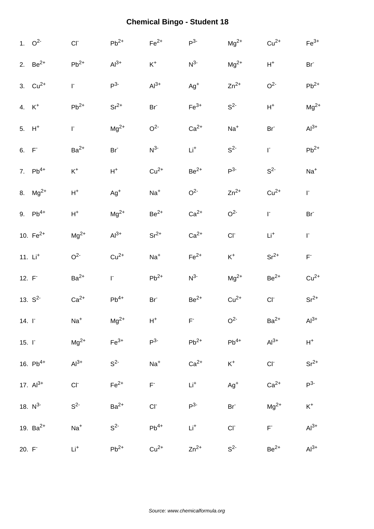|              | 1. $O^2$          | $CI-$              | $Pb^{2+}$       | $Fe2+$          | $P^3$              | $\rm Mg^{2+}$   | $Cu2+$          | $Fe3+$          |
|--------------|-------------------|--------------------|-----------------|-----------------|--------------------|-----------------|-----------------|-----------------|
|              | 2. $Be^{2+}$      | $\mathsf{Pb}^{2+}$ | $Al3+$          | $\mathsf{K}^+$  | $N^{3-}$           | $Mg^{2+}$       | $H^+$           | Br <sup>-</sup> |
|              | 3. $Cu^{2+}$      | r.                 | $P^3$           | $Al3+$          | $Ag+$              | $Zn^{2+}$       | O <sup>2</sup>  | $Pb^{2+}$       |
|              | 4. K <sup>+</sup> | $\mathsf{Pb}^{2+}$ | $Sr^{2+}$       | Br <sup>-</sup> | $\mathsf{Fe}^{3+}$ | S <sup>2</sup>  | $H^+$           | $Mg^{2+}$       |
|              | 5. $H^+$          | $\mathsf{I}^*$     | $Mg^{2+}$       | O <sup>2</sup>  | $Ca2+$             | $Na+$           | Br <sup>-</sup> | $Al3+$          |
| $6. F-$      |                   | $Ba2+$             | Br <sup>-</sup> | $N^3$           | $Li+$              | $S^2$           | $\mathsf{I}^*$  | $Pb^{2+}$       |
|              | 7. $Pb^{4+}$      | $\mathsf{K}^+$     | $\mathsf{H}^+$  | $Cu2+$          | $Be^{2+}$          | $P3-$           | $S^2$           | $Na+$           |
|              | 8. $Mg^{2+}$      | $\mathsf{H}^+$     | $Ag+$           | $Na+$           | O <sup>2</sup>     | $Zn^{2+}$       | $Cu2+$          | $\mathbf{r}$    |
|              | 9. $Pb^{4+}$      | $\mathsf{H}^+$     | $Mg^{2+}$       | $Be2+$          | $Ca2+$             | O <sup>2</sup>  | $\mathsf{I}^*$  | Br <sup>-</sup> |
|              | 10. $Fe^{2+}$     | $Mg^{2+}$          | $Al3+$          | $Sr^{2+}$       | $Ca2+$             | $CI-$           | $Li+$           | $\mathsf{I}^*$  |
|              | 11. $Li+$         | O <sup>2</sup>     | $Cu2+$          | $Na+$           | $\mathsf{Fe}^{2+}$ | $K^+$           | $Sr^{2+}$       | $\mathsf{F}^*$  |
| 12. F        |                   | $Ba2+$             | $\Gamma$        | $Pb^{2+}$       | $N^3$              | $Mg^{2+}$       | $\rm Be^{2+}$   | $Cu2+$          |
|              | 13. $S^2$         | $Ca2+$             | $Pb^{4+}$       | $Br-$           | $Be^{2+}$          | $Cu2+$          | $CI-$           | $Sr^{2+}$       |
| $14. \Gamma$ |                   | $Na+$              | $\rm Mg^{2+}$   | $H^+$           | $F^-$              | O <sup>2</sup>  | $Ba2+$          | $Al3+$          |
| $15. \Gamma$ |                   | $Mg^{2+}$          | $Fe3+$          | $P3-$           | $Pb^{2+}$          | $Pb^{4+}$       | $Al3+$          | $H^+$           |
|              | 16. $Pb^{4+}$     | $Al3+$             | S <sup>2</sup>  | $\mathrm{Na}^+$ | $Ca2+$             | $K^+$           | $CI^-$          | $Sr^{2+}$       |
|              | 17. $Al^{3+}$     | $CI^-$             | $Fe2+$          | $\mathsf{F}^*$  | $\mathsf{Li}^+$    | $Ag^{+}$        | $Ca2+$          | $P^3$           |
|              | 18. $N^3$         | $S^2$              | $Ba2+$          | $CI-$           | P <sup>3</sup>     | Br <sup>-</sup> | $Mg^{2+}$       | $\mathsf{K}^+$  |
|              | 19. $Ba^{2+}$     | $Na+$              | $S^2$           | $Pb^{4+}$       | $Li+$              | $CI^-$          | $F^-$           | $Al3+$          |
| 20. F        |                   | $Li+$              | $Pb^{2+}$       | $Cu2+$          | $Zn^{2+}$          | S <sup>2</sup>  | $Be2+$          | $Al^{3+}$       |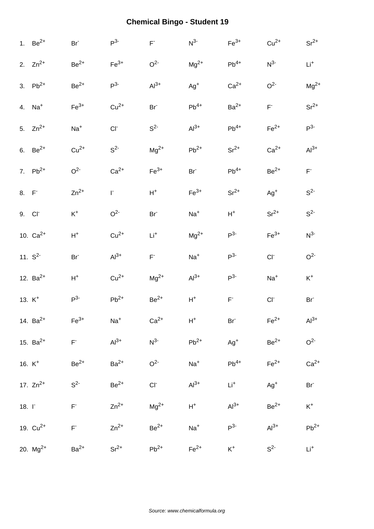|              | 1. $Be^{2+}$       | Br               | $P^3$          | $\mathsf{F}^*$  | $N^3$           | $Fe3+$                  | $Cu2+$             | $Sr^{2+}$       |
|--------------|--------------------|------------------|----------------|-----------------|-----------------|-------------------------|--------------------|-----------------|
|              | 2. $Zn^{2+}$       | $Be2+$           | $Fe3+$         | O <sup>2</sup>  | $Mg^{2+}$       | $\mathsf{Pb}^{4+}$      | $N^{3-}$           | $Li^{+}$        |
|              | 3. $Pb^{2+}$       | $\mbox{Be}^{2+}$ | $P^3$          | $Al3+$          | $Ag^{+}$        | $Ca2+$                  | O <sup>2</sup>     | $Mg^{2+}$       |
|              | 4. $Na+$           | $Fe3+$           | $Cu2+$         | Br <sup>-</sup> | $Pb^{4+}$       | $Ba2+$                  | $\mathsf{F}^*$     | $Sr^{2+}$       |
|              | 5. $Zn^{2+}$       | $Na+$            | CI             | $S^2$           | $Al^{3+}$       | $Pb^{4+}$               | $Fe2+$             | $P^3$           |
|              | 6. $Be^{2+}$       | $Cu2+$           | $S^2$          | $Mg^{2+}$       | $Pb^{2+}$       | $\rm Sr^{2+}$           | $Ca2+$             | $Al3+$          |
|              | 7. $Pb^{2+}$       | O <sup>2</sup>   | $Ca2+$         | $Fe3+$          | Br <sup>-</sup> | $Pb^{4+}$               | $\mbox{Be}^{2+}$   | $\mathsf{F}^*$  |
| 8. F         |                    | $Zn^{2+}$        | $\mathsf{I}^*$ | $\mathsf{H}^+$  | $Fe3+$          | $Sr^{2+}$               | $Ag+$              | $S^2$           |
|              | 9. Cl <sup>-</sup> | $\mathsf{K}^+$   | O <sup>2</sup> | Br <sup>-</sup> | $Na+$           | $H^+$                   | $Sr^{2+}$          | $S^2$           |
|              | 10. $Ca^{2+}$      | $\mathsf{H}^+$   | $Cu2+$         | $Li+$           | $Mg^{2+}$       | P <sup>3</sup>          | $Fe3+$             | $N^3$           |
|              | 11. $S^2$          | Br <sup>-</sup>  | $Al3+$         | $F^{\circ}$     | $Na+$           | P <sup>3</sup>          | $CI-$              | O <sup>2</sup>  |
|              | 12. $Ba^{2+}$      | $H^+$            | $Cu2+$         | $Mg^{2+}$       | $Al3+$          | $P^3$                   | $Na+$              | $\mathsf{K}^+$  |
|              | 13. K <sup>+</sup> | $P^3$            | $Pb^{2+}$      | $Be2+$          | $\mathsf{H}^+$  | $\mathsf{F}^{\text{-}}$ | $CI^-$             | Br <sup>-</sup> |
|              | 14. $Ba^{2+}$      | $Fe3+$           | $Na+$          | $Ca2+$          | $H^+$           | Br <sup>-</sup>         | $Fe2+$             | $Al^{3+}$       |
|              | 15. $Ba^{2+}$      | $\mathsf{F}^*$   | $Al3+$         | $N^3$           | $Pb^{2+}$       | $Ag+$                   | $Be2+$             | O <sup>2</sup>  |
|              | 16. $K^+$          | $Be2+$           | $Ba2+$         | O <sup>2</sup>  | $Na+$           | $Pb^{4+}$               | $\mathsf{Fe}^{2+}$ | $Ca2+$          |
|              | 17. $Zn^{2+}$      | $S^2$            | $Be2+$         | $CI+$           | $Al^{3+}$       | $Li^+$                  | $Ag+$              | Br <sup>-</sup> |
| 18. $\Gamma$ |                    | $\mathsf{F}^*$   | $Zn^{2+}$      | $Mg^{2+}$       | $H^+$           | $Al3+$                  | $Be^{2+}$          | $\mathsf{K}^+$  |
|              | 19. $Cu^{2+}$      | $\mathsf{F}^*$   | $Zn^{2+}$      | $Be2+$          | $Na+$           | $P3-$                   | $Al3+$             | $Pb^{2+}$       |
|              | 20. $Mg^{2+}$      | $Ba2+$           | $Sr^{2+}$      | $Pb^{2+}$       | $Fe2+$          | $K^+$                   | S <sup>2</sup>     | Li <sup>+</sup> |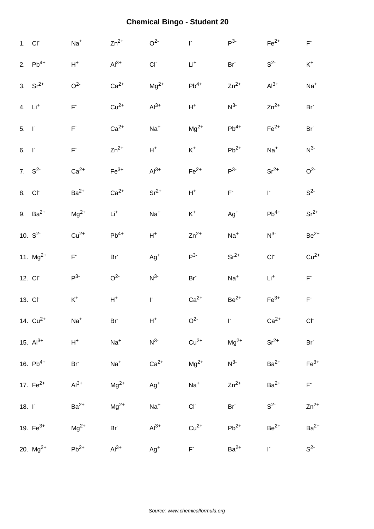| 1. CI <sup>-</sup>  |               | $Na+$                   | $Zn^{2+}$       | O <sup>2</sup> | $\mathsf{I}^*$  | $P^3$                   | $Fe2+$          | $\mathsf{F}^*$  |
|---------------------|---------------|-------------------------|-----------------|----------------|-----------------|-------------------------|-----------------|-----------------|
|                     | 2. $Pb^{4+}$  | $\mathsf{H}^+$          | $Al3+$          | $CI-$          | $Li+$           | Br <sup>-</sup>         | S <sup>2</sup>  | $K^+$           |
|                     | 3. $Sr^{2+}$  | O <sup>2</sup>          | $Ca2+$          | $Mg^{2+}$      | $Pb^{4+}$       | $Zn^{2+}$               | $Al3+$          | $Na+$           |
| 4. Li <sup>+</sup>  |               | $\mathsf{F}^*$          | $Cu2+$          | $Al3+$         | $H^+$           | $N^3$                   | $Zn^{2+}$       | Br <sup>-</sup> |
| $5. \quad \Gamma$   |               | $\mathsf{F}^{\text{-}}$ | $Ca2+$          | $Na+$          | $\rm Mg^{2+}$   | $Pb^{4+}$               | $Fe2+$          | Br <sup>-</sup> |
| $6. \quad \Gamma$   |               | $\mathsf{F}^*$          | $Zn^{2+}$       | ${\sf H}^+$    | $K^+$           | $Pb^{2+}$               | $Na+$           | $N^3$           |
|                     | 7. $S^2$      | $Ca2+$                  | $Fe3+$          | $Al3+$         | $Fe2+$          | P <sup>3</sup>          | $Sr^{2+}$       | O <sup>2</sup>  |
| 8. Cl <sup>-</sup>  |               | $Ba2+$                  | $Ca2+$          | $Sr^{2+}$      | $H^+$           | $\mathsf{F}^{\text{-}}$ | $\Gamma$        | $S^2$           |
|                     | 9. $Ba^{2+}$  | $\rm Mg^{2+}$           | $Li+$           | $Na+$          | $K^+$           | $Ag+$                   | $Pb^{4+}$       | $Sr^{2+}$       |
|                     | 10. $S^2$     | $Cu2+$                  | $Pb^{4+}$       | $H^+$          | $Zn^{2+}$       | $Na+$                   | $N^3$           | $Be2+$          |
|                     | 11. $Mg^{2+}$ | $\mathsf{F}^*$          | Br <sup>-</sup> | $Ag+$          | $P^3$           | $Sr^{2+}$               | $CI-$           | $Cu2+$          |
| 12. Cl <sup>-</sup> |               | P <sup>3</sup>          | O <sup>2</sup>  | $N^3$          | Br <sup>-</sup> | $Na+$                   | $\mathsf{Li}^+$ | $\mathsf{F}^*$  |
| 13. CI <sup>-</sup> |               | $\mathsf{K}^+$          | $\mathsf{H}^+$  | r.             | $Ca2+$          | $Be2+$                  | $Fe3+$          | $\mathsf{F}^*$  |
|                     | 14. $Cu^{2+}$ | $Na+$                   | Br <sup>-</sup> | $H^+$          | O <sup>2</sup>  | $\Gamma$                | $Ca2+$          | CI              |
|                     | 15. $Al^{3+}$ | $\mathsf{H}^+$          | $\mathrm{Na}^+$ | $N^3$          | $Cu2+$          | $Mg^{2+}$               | $Sr^{2+}$       | Br <sup>-</sup> |
|                     | 16. $Pb^{4+}$ | Br <sup>-</sup>         | $Na+$           | $Ca2+$         | $Mg^{2+}$       | $N^3$                   | $Ba2+$          | $Fe3+$          |
|                     | 17. $Fe^{2+}$ | $Al3+$                  | $Mg^{2+}$       | $Ag^{+}$       | $Na+$           | $Zn^{2+}$               | $Ba2+$          | $F^*$           |
| $18. \Gamma$        |               | $Ba2+$                  | $Mg^{2+}$       | $Na+$          | $CI^-$          | Br <sup>-</sup>         | $S2-$           | $Zn^{2+}$       |
|                     | 19. $Fe^{3+}$ | $\rm Mg^{2+}$           | $Br-$           | $Al3+$         | $Cu2+$          | $Pb^{2+}$               | $Be2+$          | $Ba2+$          |
|                     | 20. $Mg^{2+}$ | $Pb^{2+}$               | $Al3+$          | $Ag+$          | $F^+$           | $Ba2+$                  | $\Gamma$        | $S^2$           |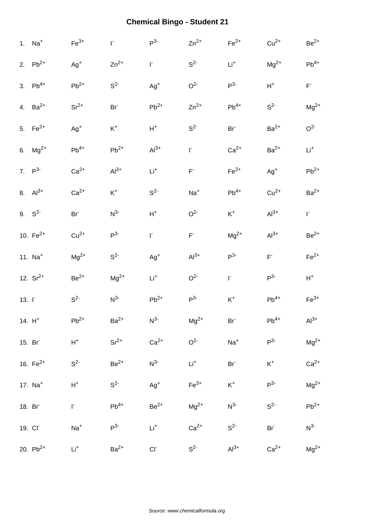|              | 1. $Na+$      | $Fe3+$          | $\mathsf{I}^*$  | $P^3$              | $Zn^{2+}$                                     | $Fe2+$             | $Cu2+$                  | $\mbox{Be}^{2+}$        |
|--------------|---------------|-----------------|-----------------|--------------------|-----------------------------------------------|--------------------|-------------------------|-------------------------|
|              | 2. $Pb^{2+}$  | $Ag^{+}$        | $Zn^{2+}$       | $\Gamma$           | S <sup>2</sup>                                | $\mathsf{Li}^+$    | $\rm Mg^{2+}$           | $\mathsf{Pb}^{4+}$      |
|              | 3. $Pb^{4+}$  | $Pb^{2+}$       | $S^2$           | $Ag^+$             | O <sup>2</sup>                                | $P3-$              | $\mathsf{H}^+$          | $\mathsf{F}^{\text{-}}$ |
|              | 4. $Ba^{2+}$  | $Sr^{2+}$       | Br <sup>-</sup> | $\mathsf{Pb}^{2+}$ | $Zn^{2+}$                                     | $Pb^{4+}$          | S <sup>2</sup>          | $Mg^{2+}$               |
|              | 5. $Fe^{2+}$  | $Ag^{+}$        | $\mathsf{K}^+$  | $H^+$              | $S^2$                                         | Br <sup>-</sup>    | $\mathsf{Ba}^{2+}$      | O <sup>2</sup>          |
|              | 6. $Mg^{2+}$  | $Pb^{4+}$       | $Pb^{2+}$       | $Al3+$             | $\mathbf{r}$                                  | $Ca2+$             | $Ba2+$                  | Li <sup>+</sup>         |
|              | 7. $P^3$      | $Ca2+$          | $Al3+$          | $Li+$              | $\mathsf{F}^{\text{-}}$                       | $\mathsf{Fe}^{2+}$ | $Ag+$                   | $Pb^{2+}$               |
|              | 8. $Al^{3+}$  | $Ca2+$          | $\mathsf{K}^+$  | $S^2$              | $Na+$                                         | $\mathsf{Pb}^{4+}$ | $Cu2+$                  | $Ba2+$                  |
|              | 9. $S^2$      | Br <sup>-</sup> | $N^3$           | $\mathsf{H}^+$     | O <sup>2</sup>                                | $K^+$              | $Al3+$                  | $\Gamma$                |
|              | 10. $Fe^{2+}$ | $Cu2+$          | P <sup>3</sup>  | $\mathsf{I}^*$     | $\mathsf{F}^{\scriptscriptstyle{\mathsf{L}}}$ | $Mg^{2+}$          | $Al3+$                  | $Be2+$                  |
|              | 11. $Na+$     | $\rm Mg^{2+}$   | $S^2$           | $Ag^+$             | $Al3+$                                        | $P^3$              | $\mathsf{F}^{\text{-}}$ | $Fe2+$                  |
|              | 12. $Sr^{2+}$ | $Be2+$          | $Mg^{2+}$       | $Li+$              | O <sup>2</sup>                                | $\Gamma$           | $P^3$                   | $\mathsf{H}^+$          |
| 13. $\Gamma$ |               | $S^2$           | $N^3$           | $Pb^{2+}$          | $P3-$                                         | $K^+$              | $Pb^{4+}$               | $Fe3+$                  |
|              | 14. $H^+$     | $Pb^{2+}$       | $Ba2+$          | $N^{3-}$           | $Mg^{2+}$                                     | $Br-$              | $\mathsf{Pb}^{4+}$      | $Al3+$                  |
|              | 15. Br        | $\mathsf{H}^+$  | $Sr^{2+}$       | $Ca2+$             | O <sup>2</sup>                                | $Na+$              | $P^3$                   | $Mg^{2+}$               |
|              | 16. $Fe^{2+}$ | $S^2$           | $Be2+$          | $N^3$              | $Li+$                                         | $Br^-$             | $\mathsf{K}^+$          | $Ca2+$                  |
|              | 17. $Na+$     | $\mathsf{H}^+$  | $S^2$           | $Ag^{+}$           | $Fe3+$                                        | $K^+$              | $P^3$                   | $Mg^{2+}$               |
|              | 18. Br        | $\mathsf{I}^*$  | $Pb^{4+}$       | $Be2+$             | $Mg^{2+}$                                     | $N^{3-}$           | S <sup>2</sup>          | $Pb^{2+}$               |
|              | 19. CI        | $Na+$           | $P^{3-}$        | $\mathsf{Li}^+$    | $Ca2+$                                        | $S2-$              | Br <sup>-</sup>         | $N^3$                   |
|              | 20. $Pb^{2+}$ | $\mathsf{Li}^+$ | $Ba2+$          | $CI^-$             | S <sup>2</sup>                                | $Al3+$             | $Ca2+$                  | $Mg^{2+}$               |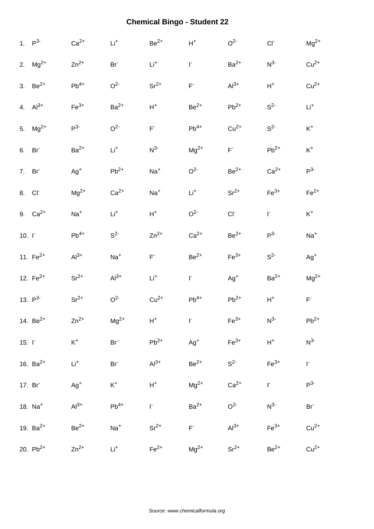|              | 1. $P^3$           | $Ca2+$          | $\mathsf{Li}^+$ | $Be^{2+}$      | $\mathsf{H}^+$          | O <sup>2</sup>     | $CI-$          | $Mg^{2+}$           |
|--------------|--------------------|-----------------|-----------------|----------------|-------------------------|--------------------|----------------|---------------------|
|              | 2. $Mg^{2+}$       | $Zn^{2+}$       | Br <sup>-</sup> | $Li+$          | $\mathsf{I}^*$          | $Ba2+$             | $N^3$          | $Cu2+$              |
|              | 3. $Be^{2+}$       | $Pb^{4+}$       | O <sup>2</sup>  | $\rm Sr^{2+}$  | $\mathsf{F}^{\text{-}}$ | $Al3+$             | $\mathsf{H}^+$ | $Cu2+$              |
|              | 4. $Al^{3+}$       | $Fe3+$          | $Ba2+$          | $\mathsf{H}^+$ | $Be2+$                  | $Pb^{2+}$          | S <sup>2</sup> | $Li+$               |
|              | 5. $Mg^{2+}$       | $P^3$           | O <sup>2</sup>  | $F^*$          | $Pb^{4+}$               | $Cu2+$             | $S^2$          | $K^+$               |
|              | 6. Br              | $Ba2+$          | $\mathsf{Li}^+$ | $N^3$          | $Mg^{2+}$               | $\mathsf{F}^*$     | $Pb^{2+}$      | $\mathsf{K}^+$      |
|              | 7. Br              | $Ag+$           | $Pb^{2+}$       | $Na+$          | O <sup>2</sup>          | $\mbox{Be}^{2+}$   | $Ca2+$         | $P^3$               |
|              | 8. Cl <sup>-</sup> | $\rm Mg^{2+}$   | $Ca2+$          | $Na+$          | $Li+$                   | $Sr^{2+}$          | $Fe3+$         | $Fe2+$              |
|              | 9. $Ca^{2+}$       | $Na+$           | $Li+$           | $H^+$          | O <sup>2</sup>          | $CI-$              | F.             | $K^+$               |
| $10. \Gamma$ |                    | $Pb^{4+}$       | S <sup>2</sup>  | $Zn^{2+}$      | $Ca2+$                  | $\mbox{Be}^{2+}$   | $P^3$          | $Na+$               |
|              | 11. $Fe^{2+}$      | $Al3+$          | $Na+$           | $F^{\circ}$    | $Be2+$                  | $Fe3+$             | S <sup>2</sup> | $Ag+$               |
|              | 12. $Fe^{2+}$      | $Sr^{2+}$       | $Al3+$          | $Li+$          | $\mathsf{I}^*$          | $Ag^+$             | $Ba2+$         | $Mg^{2+}$           |
|              | 13. $P^3$          | $Sr^{2+}$       | O <sup>2</sup>  | $Cu2+$         | $Pb^{4+}$               | $Pb^{2+}$          | $\mathsf{H}^+$ | $\mathsf{F}^*$      |
|              | 14. $Be^{2+}$      | $Zn^{2+}$       | $Mg^{2+}$       | $H^+$          | $\Gamma$                | $\mathsf{Fe}^{3+}$ | $N^{3-}$       | $\mathsf{Pb}^{2+}$  |
| $15. \Gamma$ |                    | $\mathsf{K}^+$  | $Br^-$          | $Pb^{2+}$      | $Ag^+$                  | $Fe3+$             | $\mathsf{H}^+$ | $N^{3-}$            |
|              | 16. $Ba^{2+}$      | $\mathsf{Li}^+$ | $Br^-$          | $Al3+$         | $Be2+$                  | $S^2$              | $Fe3+$         | $\overline{\Gamma}$ |
|              | 17. Br             | $Ag+$           | $\mathsf{K}^+$  | $\mathsf{H}^+$ | $Mg^{2+}$               | $Ca2+$             | $\Gamma$       | $P^3$               |
|              | 18. $Na+$          | $Al3+$          | $Pb^{4+}$       | F.             | $Ba2+$                  | O <sup>2</sup>     | $N^{3-}$       | Br <sup>-</sup>     |
|              | 19. $Ba^{2+}$      | $Be2+$          | $Na+$           | $Sr^{2+}$      | $F^+$                   | $Al3+$             | $Fe3+$         | $Cu2+$              |
|              | 20. $Pb^{2+}$      | $Zn^{2+}$       | $Li+$           | $Fe2+$         | $Mg^{2+}$               | $Sr^{2+}$          | $Be2+$         | $Cu2+$              |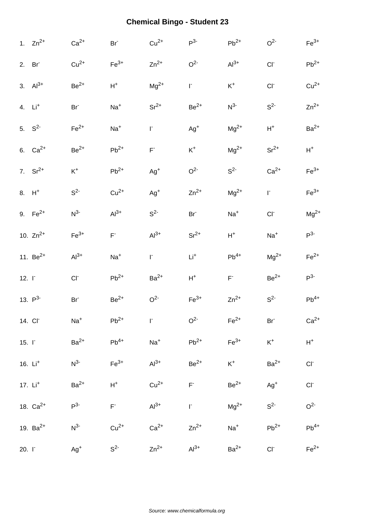|              | 1. $Zn^{2+}$        | $Ca2+$             | Br <sup>-</sup>    | $Cu2+$         | $P^3$           | $Pb^{2+}$      | O <sup>2</sup>  | $\mathsf{Fe}^{3+}$       |
|--------------|---------------------|--------------------|--------------------|----------------|-----------------|----------------|-----------------|--------------------------|
|              | 2. Br               | $Cu2+$             | $Fe3+$             | $Zn^{2+}$      | O <sup>2</sup>  | $Al3+$         | $CI-$           | $\mathsf{Pb}^{2+}$       |
|              | 3. $Al^{3+}$        | $Be2+$             | $\mathsf{H}^+$     | $Mg^{2+}$      | $\Gamma$        | $\mathsf{K}^+$ | $CI-$           | $Cu2+$                   |
|              | 4. $Li+$            | Br <sup>-</sup>    | $Na+$              | $\rm Sr^{2+}$  | $Be^{2+}$       | $N^3$          | S <sup>2</sup>  | $Zn^{2+}$                |
|              | 5. $S^2$            | $Fe2+$             | $Na+$              | $\mathsf{I}^*$ | $Ag^{+}$        | $Mg^{2+}$      | $H^+$           | $Ba2+$                   |
|              | 6. $Ca^{2+}$        | $Be2+$             | $Pb^{2+}$          | $\mathsf{F}^*$ | $\mathsf{K}^+$  | $Mg^{2+}$      | $Sr^{2+}$       | $H^+$                    |
|              | 7. $Sr^{2+}$        | $\mathsf{K}^+$     | $Pb^{2+}$          | $Ag^{+}$       | O <sup>2</sup>  | S <sup>2</sup> | $Ca2+$          | $Fe3+$                   |
|              | $8. H+$             | $S^2$              | $Cu2+$             | $Ag^+$         | $Zn^{2+}$       | $Mg^{2+}$      | $\Gamma$        | $Fe3+$                   |
|              | 9. $Fe^{2+}$        | $N^{3-}$           | $Al^{3+}$          | $S^2$          | Br <sup>-</sup> | $Na+$          | $CI-$           | $Mg^{2+}$                |
|              | 10. $Zn^{2+}$       | $\mathsf{Fe}^{3+}$ | $F^{\dagger}$      | $Al3+$         | $Sr^{2+}$       | $H^+$          | $Na+$           | $P^3$                    |
|              | 11. $Be^{2+}$       | $Al3+$             | $Na+$              | $\mathsf{I}^*$ | $\mathsf{Li}^+$ | $Pb^{4+}$      | $\rm Mg^{2+}$   | $Fe2+$                   |
| $12. \Gamma$ |                     | CI                 | $\mathsf{Pb}^{2+}$ | $Ba2+$         | $H^+$           | $\mathsf{F}^*$ | $Be2+$          | $P^3$                    |
|              | 13. $P^3$           | Br <sup>-</sup>    | $\rm Be^{2+}$      | O <sup>2</sup> | $Fe3+$          | $Zn^{2+}$      | $S^2$           | $Pb^{4+}$                |
|              | 14. CI              | $Na+$              | $\mathsf{Pb}^{2+}$ | T.             | O <sup>2</sup>  | $Fe2+$         | Br <sup>-</sup> | $Ca2+$                   |
| $15. \Gamma$ |                     | $Ba2+$             | $Pb^{4+}$          | $Na+$          | $Pb^{2+}$       | $Fe3+$         | $K^+$           | $\mathsf{H}^+$           |
|              | 16. $Li+$           | $N^{3-}$           | $Fe3+$             | $Al3+$         | $Be^{2+}$       | $K^+$          | $Ba2+$          | $CI-$                    |
|              | 17. Li <sup>+</sup> | $Ba2+$             | $\mathsf{H}^+$     | $Cu2+$         | $\mathsf{F}^*$  | $Be2+$         | $Ag^{+}$        | $\mathsf{CI}^{\text{-}}$ |
|              | 18. $Ca^{2+}$       | $P^{3-}$           | $\mathsf{F}^*$     | $Al3+$         | $\Gamma$        | $Mg^{2+}$      | $S^2$           | O <sup>2</sup>           |
|              | 19. $Ba^{2+}$       | $N^{3-}$           | $Cu2+$             | $Ca2+$         | $Zn^{2+}$       | $Na+$          | $Pb^{2+}$       | $Pb^{4+}$                |
|              |                     |                    |                    |                |                 |                |                 |                          |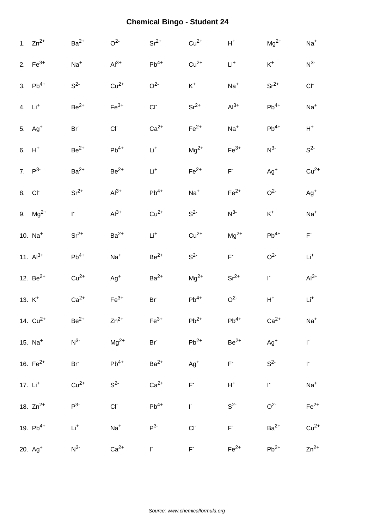|                    | 1. $Zn^{2+}$       | $Ba2+$           | O <sup>2</sup>     | $Sr^{2+}$          | $Cu2+$                                        | $\mathsf{H}^+$     | $Mg^{2+}$      | $Na+$          |
|--------------------|--------------------|------------------|--------------------|--------------------|-----------------------------------------------|--------------------|----------------|----------------|
|                    | 2. $Fe^{3+}$       | $Na+$            | $Al3+$             | $Pb^{4+}$          | $Cu2+$                                        | $\mathsf{Li}^+$    | $\mathsf{K}^+$ | $N^3$          |
|                    | 3. $Pb^{4+}$       | $S^2$            | $Cu2+$             | O <sup>2</sup>     | $K^+$                                         | $Na+$              | $Sr^{2+}$      | CI             |
|                    | 4. $Li+$           | $\mbox{Be}^{2+}$ | $\mathsf{Fe}^{3+}$ | CI <sub>c</sub>    | $\rm Sr^{2+}$                                 | $Al^{3+}$          | $Pb^{4+}$      | $Na+$          |
|                    | 5. Ag <sup>+</sup> | Br <sup>-</sup>  | CI                 | $Ca2+$             | $Fe2+$                                        | $Na+$              | $Pb^{4+}$      | $H^+$          |
|                    | $6. H+$            | $Be2+$           | $\mathsf{Pb}^{4+}$ | $\mathsf{Li}^+$    | $Mg^{2+}$                                     | $\mathsf{Fe}^{3+}$ | $N^3$          | $S^2$          |
|                    | 7. $P^3$           | $Ba2+$           | $Be^{2+}$          | $\mathsf{Li}^+$    | $Fe2+$                                        | $\mathsf{F}^*$     | $Ag+$          | $Cu2+$         |
| 8. Cl <sup>-</sup> |                    | $Sr^{2+}$        | $Al3+$             | $\mathsf{Pb}^{4+}$ | $Na+$                                         | $Fe2+$             | O <sup>2</sup> | $Ag+$          |
|                    | 9. $Mg^{2+}$       | F.               | $Al^{3+}$          | $Cu2+$             | $S^2$                                         | $N^3$              | $\mathsf{K}^+$ | $Na+$          |
|                    | 10. $Na+$          | $Sr^{2+}$        | $Ba2+$             | $Li+$              | $Cu2+$                                        | $Mg^{2+}$          | $Pb^{4+}$      | $\mathsf{F}^*$ |
|                    | 11. $Al^{3+}$      | $Pb^{4+}$        | $Na+$              | $\mbox{Be}^{2+}$   | S <sup>2</sup>                                | $\mathsf{F}^*$     | O <sup>2</sup> | $Li+$          |
|                    | 12. $Be^{2+}$      | $Cu2+$           | $Ag+$              | $Ba2+$             | $\rm Mg^{2+}$                                 | $Sr^{2+}$          | $\Gamma$       | $Al3+$         |
|                    | 13. $K^+$          | $Ca2+$           | $Fe3+$             | Br <sup>-</sup>    | $Pb^{4+}$                                     | O <sup>2</sup>     | $H^+$          | $Li+$          |
|                    | 14. $Cu^{2+}$      | $Be^{2+}$        | $Zn^{2+}$          | $\mathsf{Fe}^{3+}$ | $Pb^{2+}$                                     | $Pb^{4+}$          | $Ca2+$         | $Na+$          |
|                    | 15. $Na+$          | $N^{3-}$         | $Mg^{2+}$          | $Br^-$             | $Pb^{2+}$                                     | $\mbox{Be}^{2+}$   | $Ag^+$         | $\mathsf{I}^*$ |
|                    | 16. $Fe^{2+}$      | $Br^{\dagger}$   | $Pb^{4+}$          | $Ba2+$             | $Ag^+$                                        | $\mathsf{F}^*$     | $S^2$          | $\Gamma$       |
|                    | 17. $Li+$          | $Cu2+$           | S <sup>2</sup>     | $Ca2+$             | $\mathsf{F}^*$                                | $\mathsf{H}^+$     | $\Gamma$       | $Na+$          |
|                    | 18. $Zn^{2+}$      | $P^3$            | $CI-$              | $Pb^{4+}$          | $\Gamma$                                      | S <sup>2</sup>     | O <sup>2</sup> | $Fe2+$         |
|                    | 19. $Pb^{4+}$      | $\mathsf{Li}^+$  | $Na+$              | $P^3$              | CI                                            | $F^+$              | $Ba2+$         | $Cu2+$         |
|                    | $20. Ag+$          | $N^{3-}$         | $Ca2+$             | F.                 | $\mathsf{F}^{\scriptscriptstyle{\mathsf{L}}}$ | $Fe2+$             | $Pb^{2+}$      | $Zn^{2+}$      |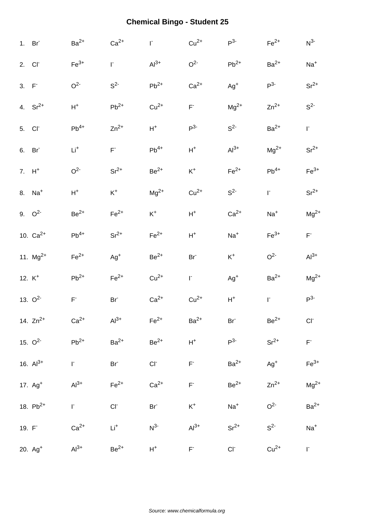|                    | 1. Br               | $Ba2+$                  | $Ca2+$             | $\mathsf{I}^*$     | $Cu2+$                  | $P^3$              | $Fe2+$             | $N^3$                                         |
|--------------------|---------------------|-------------------------|--------------------|--------------------|-------------------------|--------------------|--------------------|-----------------------------------------------|
| 2. Cl              |                     | $\mathsf{Fe}^{3+}$      | I.                 | $Al3+$             | O <sup>2</sup>          | $\mathsf{Pb}^{2+}$ | $Ba2+$             | $Na+$                                         |
| 3. F               |                     | O <sup>2</sup>          | $S^2$              | $Pb^{2+}$          | $Ca2+$                  | $Ag^+$             | $P^3$              | $Sr^{2+}$                                     |
|                    | 4. $Sr^{2+}$        | $H^+$                   | $Pb^{2+}$          | $Cu2+$             | $\mathsf{F}^{\text{-}}$ | $\rm Mg^{2+}$      | $Zn^{2+}$          | $S^2$                                         |
| 5. Cl <sup>-</sup> |                     | $\mathsf{Pb}^{4+}$      | $Zn^{2+}$          | $H^+$              | $P^3$                   | $S^2$              | $Ba2+$             | F.                                            |
|                    | 6. Br               | $\mathsf{Li}^+$         | $\mathsf{F}^*$     | $\mathsf{Pb}^{4+}$ | $\mathsf{H}^+$          | $Al3+$             | $Mg^{2+}$          | $Sr^{2+}$                                     |
| $7. H+$            |                     | O <sup>2</sup>          | $Sr^{2+}$          | $Be^{2+}$          | $K^+$                   | $\mathsf{Fe}^{2+}$ | $\mathsf{Pb}^{4+}$ | $Fe3+$                                        |
|                    | 8. Na <sup>+</sup>  | $H^+$                   | $\mathsf{K}^+$     | $\rm Mg^{2+}$      | $Cu2+$                  | S <sup>2</sup>     | $\Gamma$           | $Sr^{2+}$                                     |
|                    | 9. $Q^2$            | $Be^{2+}$               | $\mathsf{Fe}^{2+}$ | $K^+$              | $\mathsf{H}^+$          | $Ca2+$             | $Na+$              | $Mg^{2+}$                                     |
|                    | 10. $Ca^{2+}$       | $\mathsf{Pb}^{4+}$      | $Sr^{2+}$          | $Fe2+$             | $H^+$                   | $Na+$              | $\mathsf{Fe}^{3+}$ | $\mathsf{F}^{\scriptscriptstyle{\mathsf{L}}}$ |
|                    | 11. $Mg^{2+}$       | $Fe2+$                  | $Ag+$              | $Be2+$             | Br <sup>-</sup>         | $\mathsf{K}^+$     | O <sup>2</sup>     | $Al3+$                                        |
| 12. $K^+$          |                     | $Pb^{2+}$               | $Fe2+$             | $Cu2+$             | $\Gamma$                | $Ag+$              | $Ba2+$             | $Mg^{2+}$                                     |
|                    | 13. $O^2$           | $\mathsf{F}^{\text{-}}$ | Br <sup>-</sup>    | $Ca2+$             | $Cu2+$                  | $\mathsf{H}^+$     | $\mathsf{I}^*$     | $P^3$                                         |
|                    | 14. $Zn^{2+}$       | $Ca2+$                  | $Al3+$             | $Fe2+$             | $Ba2+$                  | Br                 | $Be^{2+}$          | CI                                            |
|                    | 15. $O^2$           | $Pb^{2+}$               | $Ba2+$             | $Be2+$             | $\mathsf{H}^+$          | $P3-$              | $Sr^{2+}$          | $\mathsf{F}^*$                                |
|                    | 16. $Al^{3+}$       | $\Gamma$                | Br <sup>-</sup>    | $CI^-$             | $\mathsf{F}^*$          | $Ba2+$             | $Ag+$              | $Fe3+$                                        |
|                    | 17. Ag <sup>+</sup> | $Al3+$                  | $Fe2+$             | $Ca2+$             | $\mathsf{F}^*$          | $Be2+$             | $Zn^{2+}$          | $Mg^{2+}$                                     |
|                    | 18. $Pb^{2+}$       | $\Gamma$                | $CI^-$             | Br <sup>-</sup>    | $K^+$                   | $Na+$              | O <sup>2</sup>     | $Ba2+$                                        |
|                    | 19. F               | $Ca2+$                  | $Li^+$             | $N^{3-}$           | $Al3+$                  | $Sr^{2+}$          | $S^2$              | $Na+$                                         |
|                    | 20. Ag <sup>+</sup> | $Al3+$                  | $Be^{2+}$          | $H^+$              | $F^-$                   | $Cl^-$             | $Cu2+$             | $\Gamma$                                      |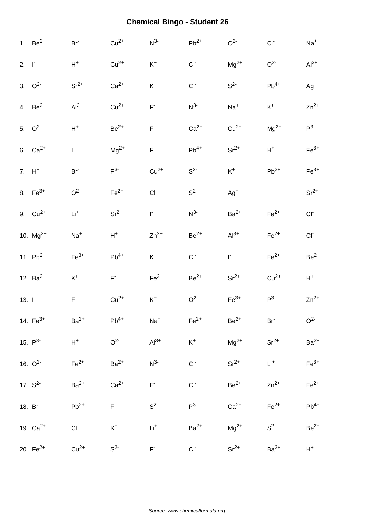|                   | 1. $Be^{2+}$  | Br <sup>-</sup>         | $Cu2+$                  | $N^3$                                         | $Pb^{2+}$       | O <sup>2</sup>   | $CI-$              | $Na+$          |
|-------------------|---------------|-------------------------|-------------------------|-----------------------------------------------|-----------------|------------------|--------------------|----------------|
| $2. \quad \Gamma$ |               | $\mathsf{H}^+$          | $Cu2+$                  | $\mathsf{K}^+$                                | CI              | $Mg^{2+}$        | O <sup>2</sup>     | $Al3+$         |
|                   | 3. $Q^2$      | $Sr^{2+}$               | $Ca2+$                  | $\mathsf{K}^+$                                | $CI-$           | $S^2$            | $Pb^{4+}$          | $Ag^{+}$       |
|                   | 4. $Be^{2+}$  | $Al3+$                  | $Cu2+$                  | $\mathsf{F}^*$                                | $N^3$           | $Na+$            | $K^+$              | $Zn^{2+}$      |
|                   | 5. $Q^2$      | $H^+$                   | $Be2+$                  | $\mathsf{F}^*$                                | $Ca2+$          | $Cu2+$           | $Mg^{2+}$          | $P^{3-}$       |
|                   | 6. $Ca^{2+}$  | $\Gamma$                | $Mg^{2+}$               | $\mathsf{F}^*$                                | $Pb^{4+}$       | $Sr^{2+}$        | $H^+$              | $Fe3+$         |
|                   | $7. H+$       | Br <sup>-</sup>         | $P3-$                   | $Cu2+$                                        | $S^2$           | $K^+$            | $Pb^{2+}$          | $Fe3+$         |
|                   | 8. $Fe^{3+}$  | O <sup>2</sup>          | $Fe2+$                  | $CI-$                                         | S <sup>2</sup>  | $Ag^+$           | $\mathsf{I}^*$     | $Sr^{2+}$      |
|                   | 9. $Cu^{2+}$  | $\mathsf{Li}^+$         | $Sr^{2+}$               | F.                                            | $N^3$           | $Ba2+$           | $Fe2+$             | $CI^-$         |
|                   | 10. $Mg^{2+}$ | $Na+$                   | $H^+$                   | $Zn^{2+}$                                     | $Be2+$          | $Al3+$           | $Fe2+$             | $CI-$          |
|                   | 11. $Pb^{2+}$ | $\mathsf{Fe}^{3+}$      | $Pb^{4+}$               | $K^+$                                         | $CI-$           | $\Gamma$         | $\mathsf{Fe}^{2+}$ | $Be2+$         |
|                   | 12. $Ba^{2+}$ | $\mathsf{K}^+$          | $\mathsf{F}^{\text{-}}$ | $Fe2+$                                        | $Be2+$          | $Sr^{2+}$        | $Cu2+$             | $H^+$          |
| $13. \Gamma$      |               | $\mathsf{F}^{\text{-}}$ | $Cu2+$                  | $K^+$                                         | O <sup>2</sup>  | $Fe3+$           | $P^{3-}$           | $Zn^{2+}$      |
|                   | 14. $Fe^{3+}$ | $Ba2+$                  | $Pb^{4+}$               | $Na+$                                         | $Fe2+$          | $\mbox{Be}^{2+}$ | Br <sup>-</sup>    | O <sup>2</sup> |
|                   | 15. $P^3$     | $H^+$                   | O <sup>2</sup>          | $Al3+$                                        | $\mathsf{K}^+$  | $Mg^{2+}$        | $Sr^{2+}$          | $Ba2+$         |
|                   | 16. $O^2$     | $Fe2+$                  | $Ba2+$                  | $N^{3-}$                                      | CI <sub>r</sub> | $Sr^{2+}$        | $Li+$              | $Fe3+$         |
|                   | 17. $S^2$     | $Ba2+$                  | $Ca2+$                  | $F^+$                                         | $CI-$           | $Be2+$           | $Zn^{2+}$          | $Fe2+$         |
|                   | 18. Br        | $Pb^{2+}$               | $\mathsf{F}^*$          | $S^2$                                         | $P^3$           | $Ca2+$           | $Fe2+$             | $Pb^{4+}$      |
|                   | 19. $Ca^{2+}$ | CI                      | $\rm K^+$               | $\mathsf{Li}^+$                               | $Ba2+$          | $Mg^{2+}$        | $S^2$              | $Be2+$         |
|                   | 20. $Fe^{2+}$ | $Cu2+$                  | S <sup>2</sup>          | $\mathsf{F}^{\scriptscriptstyle{\mathsf{L}}}$ | $CI^-$          | $Sr^{2+}$        | $Ba2+$             | $H^+$          |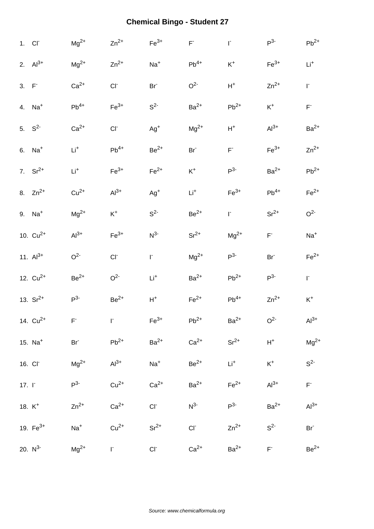|              | 1. Cl <sup>-</sup>  | $Mg^{2+}$        | $Zn^{2+}$      | $Fe3+$             | $\mathsf{F}^*$     | $\mathsf{I}^*$     | $P^3$              | $Pb^{2+}$          |
|--------------|---------------------|------------------|----------------|--------------------|--------------------|--------------------|--------------------|--------------------|
|              | 2. $Al^{3+}$        | $\rm Mg^{2+}$    | $Zn^{2+}$      | $Na+$              | $\mathsf{Pb}^{4+}$ | $\mathsf{K}^+$     | $\mathsf{Fe}^{3+}$ | $Li+$              |
| $3. F-$      |                     | $Ca2+$           | $CI^-$         | Br <sup>-</sup>    | O <sup>2</sup>     | $H^+$              | $Zn^{2+}$          | $\mathsf{I}^*$     |
|              | 4. Na <sup>+</sup>  | $Pb^{4+}$        | $Fe3+$         | S <sup>2</sup>     | $Ba2+$             | $Pb^{2+}$          | $K^+$              | $\mathsf{F}^*$     |
|              | 5. $S^2$            | $Ca2+$           | $CI^-$         | $Ag^{+}$           | $Mg^{2+}$          | $H^+$              | $Al^{3+}$          | $Ba2+$             |
|              | 6. Na <sup>+</sup>  | $Li+$            | $Pb^{4+}$      | $Be2+$             | Br <sup>-</sup>    | $\mathsf{F}^*$     | $Fe3+$             | $Zn^{2+}$          |
|              | 7. $Sr^{2+}$        | $\mathsf{Li}^+$  | $Fe3+$         | $\mathsf{Fe}^{2+}$ | $K^+$              | $P^3$              | $Ba2+$             | $\mathsf{Pb}^{2+}$ |
|              | 8. $Zn^{2+}$        | $Cu2+$           | $Al3+$         | $Ag^{+}$           | $\mathsf{Li}^+$    | $\mathsf{Fe}^{3+}$ | $\mathsf{Pb}^{4+}$ | $Fe2+$             |
|              | 9. Na <sup>+</sup>  | $Mg^{2+}$        | $K^+$          | $S^2$              | $Be2+$             | $\mathsf{I}^*$     | $Sr^{2+}$          | O <sup>2</sup>     |
|              | 10. $Cu^{2+}$       | $Al3+$           | $Fe3+$         | $N^3$              | $Sr^{2+}$          | $Mg^{2+}$          | $\mathsf{F}^*$     | $Na+$              |
|              | 11. $Al^{3+}$       | O <sup>2</sup>   | $CI^-$         | $\mathsf{I}^*$     | $\rm Mg^{2+}$      | $P^3$              | Br <sup>-</sup>    | $Fe2+$             |
|              | 12. $Cu^{2+}$       | $\mbox{Be}^{2+}$ | O <sup>2</sup> | $\mathsf{Li}^+$    | $Ba2+$             | $Pb^{2+}$          | $P^3$              | $\mathbf{r}$       |
|              | 13. $Sr^{2+}$       | P <sup>3</sup>   | $\rm Be^{2+}$  | $\mathsf{H}^+$     | $\mathsf{Fe}^{2+}$ | $Pb^{4+}$          | $Zn^{2+}$          | $\mathsf{K}^+$     |
|              | 14. $Cu^{2+}$       | $F^-$            | $\Gamma$       | $\mathsf{Fe}^{3+}$ | $Pb^{2+}$          | $Ba2+$             | O <sup>2</sup>     | $Al3+$             |
|              | 15. $Na+$           | Br <sup>-</sup>  | $Pb^{2+}$      | $Ba2+$             | $Ca2+$             | $Sr^{2+}$          | $H^+$              | $Mg^{2+}$          |
|              | 16. CI <sup>-</sup> | $Mg^{2+}$        | $Al3+$         | $Na+$              | $Be^{2+}$          | $Li^{+}$           | $\mathsf{K}^+$     | $\mathbb{S}^{2-}$  |
| $17. \Gamma$ |                     | $P^3$            | $Cu2+$         | $Ca2+$             | $Ba2+$             | $Fe2+$             | $Al^{3+}$          | $\mathsf{F}^*$     |
|              | 18. $K^+$           | $Zn^{2+}$        | $Ca2+$         | $CI-$              | $N^{3-}$           | $P^{3-}$           | $Ba2+$             | $Al3+$             |
|              | 19. $Fe^{3+}$       | $Na+$            | $Cu2+$         | $Sr^{2+}$          | $CI^-$             | $Zn^{2+}$          | S <sup>2</sup>     | Br <sup>-</sup>    |
|              | 20. $N^3$           | $Mg^{2+}$        | r,             | $CI^-$             | $Ca2+$             | $Ba2+$             | $\mathsf{F}^*$     | $Be2+$             |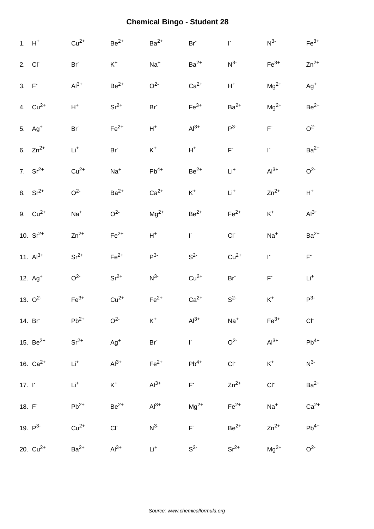|              | $1. H+$            | $Cu2+$          | $Be2+$           | $Ba2+$          | $Br-$              | $\Gamma$        | $N^3$              | $Fe3+$                      |
|--------------|--------------------|-----------------|------------------|-----------------|--------------------|-----------------|--------------------|-----------------------------|
|              | 2. Cl <sup>-</sup> | Br <sup>-</sup> | $\mathsf{K}^+$   | $Na+$           | $Ba2+$             | $N^{3-}$        | $Fe3+$             | $Zn^{2+}$                   |
| $3. F-$      |                    | $Al3+$          | $Be2+$           | O <sup>2</sup>  | $Ca2+$             | $H^+$           | $Mg^{2+}$          | $Ag+$                       |
|              | 4. $Cu^{2+}$       | $\mathsf{H}^+$  | $Sr^{2+}$        | Br <sup>-</sup> | $\mathsf{Fe}^{3+}$ | $Ba2+$          | $\rm Mg^{2+}$      | $Be2+$                      |
|              | 5. $Ag+$           | Br <sup>-</sup> | $Fe2+$           | $H^+$           | $Al^{3+}$          | $P3-$           | $\mathsf{F}^*$     | O <sup>2</sup>              |
|              | 6. $Zn^{2+}$       | $\mathsf{Li}^+$ | $Br-$            | $\mathsf{K}^+$  | $H^+$              | $\mathsf{F}^*$  | $\mathsf{I}^*$     | $Ba2+$                      |
|              | 7. $Sr^{2+}$       | $Cu2+$          | $Na+$            | $Pb^{4+}$       | $Be2+$             | $Li+$           | $Al3+$             | O <sup>2</sup>              |
|              | 8. $Sr^{2+}$       | O <sup>2</sup>  | $Ba2+$           | $Ca2+$          | $\mathsf{K}^+$     | $Li+$           | $Zn^{2+}$          | $H^+$                       |
|              | 9. $Cu^{2+}$       | $Na+$           | O <sup>2</sup>   | $Mg^{2+}$       | $Be2+$             | $Fe2+$          | $\mathsf{K}^+$     | $Al3+$                      |
|              | 10. $Sr^{2+}$      | $Zn^{2+}$       | $Fe2+$           | $H^+$           | $\Gamma$           | $CI^-$          | $Na+$              | $Ba2+$                      |
|              | 11. $Al^{3+}$      | $Sr^{2+}$       | $Fe2+$           | P <sup>3</sup>  | S <sup>2</sup>     | $Cu2+$          | $\mathsf{I}^*$     | $\mathsf{F}^*$              |
|              | 12. $Ag+$          | O <sup>2</sup>  | $Sr^{2+}$        | $N^3$           | $Cu2+$             | Br <sup>-</sup> | $\mathsf{F}^*$     | $Li+$                       |
|              | 13. $O^2$          | $Fe3+$          | $Cu2+$           | $Fe2+$          | $Ca2+$             | S <sup>2</sup>  | $\mathsf{K}^+$     | $P^3$                       |
|              | 14. Br             | $Pb^{2+}$       | O <sup>2</sup>   | $\mathsf{K}^+$  | $Al3+$             | $Na+$           | $\mathsf{Fe}^{3+}$ | $\mathsf{C}\mathsf{\Gamma}$ |
|              | 15. $Be^{2+}$      | $Sr^{2+}$       | $Ag^{+}$         | Br <sup>-</sup> | $\Gamma$           | O <sup>2</sup>  | $Al3+$             | $Pb^{4+}$                   |
|              | 16. $Ca^{2+}$      | $\mathsf{Li}^+$ | $Al3+$           | $Fe2+$          | $Pb^{4+}$          | $CI-$           | $\mathsf{K}^+$     | $N^3$                       |
| 17. $\Gamma$ |                    | $\mathsf{Li}^+$ | $\mathsf{K}^+$   | $Al^{3+}$       | $\mathsf{F}^*$     | $Zn^{2+}$       | $CI-$              | $Ba2+$                      |
| 18. F        |                    | $Pb^{2+}$       | $\mbox{Be}^{2+}$ | $Al3+$          | $Mg^{2+}$          | $Fe2+$          | $Na+$              | $Ca2+$                      |
|              | 19. $P^3$          | $Cu2+$          | $CI^-$           | $N^3$           | $\mathsf{F}^*$     | $Be2+$          | $Zn^{2+}$          | $\mathsf{Pb}^{4+}$          |
|              | 20. $Cu^{2+}$      | $Ba2+$          | $Al^{3+}$        | $Li+$           | $S^2$              | $Sr^{2+}$       | $Mg^{2+}$          | O <sup>2</sup>              |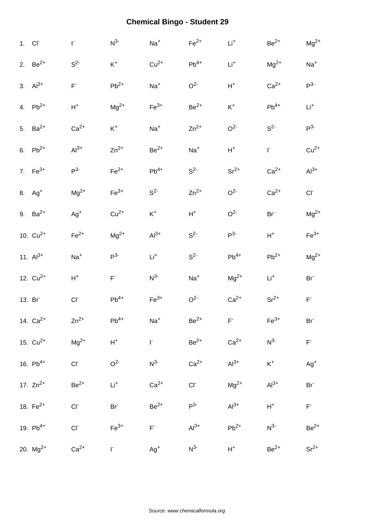| 1. CI <sup>-</sup> | $\mathsf{I}^*$           | $N^3$              | $Na+$     | $\mathsf{Fe}^{2+}$ | $\mathsf{Li}^+$ | $Be2+$             | $Mg^{2+}$               |
|--------------------|--------------------------|--------------------|-----------|--------------------|-----------------|--------------------|-------------------------|
| 2. $Be^{2+}$       | S <sup>2</sup>           | $\mathsf{K}^+$     | $Cu2+$    | $\mathsf{Pb}^{4+}$ | $Li+$           | $Mg^{2+}$          | $Na+$                   |
| 3. $Al^{3+}$       | $F^{\dagger}$            | $Pb^{2+}$          | $Na+$     | O <sup>2</sup>     | $H^+$           | $Ca2+$             | $P^3$                   |
| 4. $Pb^{2+}$       | $H^+$                    | $Mg^{2+}$          | $Fe3+$    | $Be2+$             | $K^+$           | $Pb^{4+}$          | $Li+$                   |
| 5. $Ba^{2+}$       | $Ca2+$                   | $\mathsf{K}^+$     | $Na+$     | $Zn^{2+}$          | O <sup>2</sup>  | $S^2$              | $P3-$                   |
| 6. $Pb^{2+}$       | $Al3+$                   | $Zn^{2+}$          | $Be2+$    | $Na+$              | ${\sf H}^+$     | $\mathsf{I}^*$     | $Cu2+$                  |
| 7. $Fe^{3+}$       | $P^3$                    | $Fe2+$             | $Pb^{4+}$ | $S^2$              | $Sr^{2+}$       | $Ca2+$             | $Al3+$                  |
| 8. Ag <sup>+</sup> | $\rm Mg^{2+}$            | $Fe3+$             | $S^2$     | $Zn^{2+}$          | O <sup>2</sup>  | $Ca2+$             | $CI^-$                  |
| 9. $Ba^{2+}$       | $Ag+$                    | $Cu2+$             | $K^+$     | $H^+$              | O <sup>2</sup>  | Br <sup>-</sup>    | $Mg^{2+}$               |
| 10. $Cu^{2+}$      | $Fe2+$                   | $Mg^{2+}$          | $Al3+$    | $S^2$              | P <sup>3</sup>  | $\mathsf{H}^+$     | $Fe3+$                  |
| 11. $Al^{3+}$      | $Na+$                    | $P^3$              | $Li+$     | S <sup>2</sup>     | $Pb^{4+}$       | $Pb^{2+}$          | $Mg^{2+}$               |
| 12. $Cu^{2+}$      | $\mathsf{H}^+$           | $\mathsf{F}^*$     | $N^3$     | $Na+$              | $\rm Mg^{2+}$   | $Li+$              | Br <sup>-</sup>         |
|                    |                          |                    |           |                    |                 |                    |                         |
| 13. Br             | $CI-$                    | $Pb^{4+}$          | $Fe3+$    | O <sup>2</sup>     | $Ca2+$          | $Sr^{2+}$          | $\mathsf{F}^*$          |
| 14. $Ca^{2+}$      | $Zn^{2+}$                | $\mathsf{Pb}^{4+}$ | $Na+$     | $\mbox{Be}^{2+}$   | $F^-$           | $\mathsf{Fe}^{3+}$ | Br <sup>-</sup>         |
| 15. $Cu^{2+}$      | $Mg^{2+}$                | $\mathsf{H}^+$     | $\Gamma$  | $Be2+$             | $Ca2+$          | $N^{3-}$           | $\mathsf{F}^*$          |
| 16. $Pb^{4+}$      | $CI^-$                   | O <sup>2</sup>     | $N^3$     | $Ca2+$             | $Al3+$          | $\mathsf{K}^+$     | $Ag^+$                  |
| 17. $Zn^{2+}$      | $Be2+$                   | $\mathsf{Li}^+$    | $Ca2+$    | $CI-$              | $Mg^{2+}$       | $Al^{3+}$          | Br <sup>-</sup>         |
| 18. $Fe^{2+}$      | $\mathsf{CI}^{\text{-}}$ | $Br^-$             | $Be^{2+}$ | $P^{3-}$           | $Al3+$          | $\mathsf{H}^+$     | $\mathsf{F}^{\text{-}}$ |
| 19. $Pb^{4+}$      | $CI^-$                   | $Fe3+$             | $F^*$     | $Al3+$             | $Pb^{2+}$       | $N^{3-}$           | $Be2+$                  |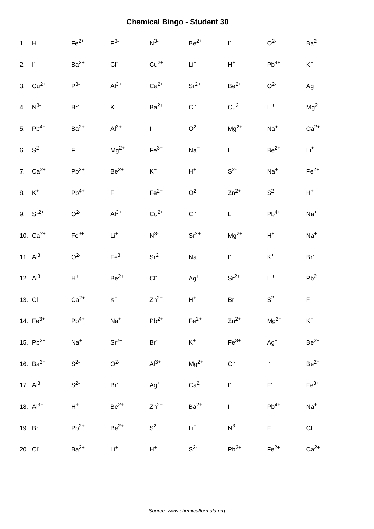|                   | $1. H+$             | $Fe2+$                  | P <sup>3</sup> | $N^3$              | $Be^{2+}$          | $\mathsf{I}^*$ | O <sup>2</sup>   | $Ba2+$                                        |
|-------------------|---------------------|-------------------------|----------------|--------------------|--------------------|----------------|------------------|-----------------------------------------------|
| $2. \quad \Gamma$ |                     | $Ba2+$                  | CI             | $Cu2+$             | $Li+$              | ${\sf H}^+$    | $Pb^{4+}$        | $\mathsf{K}^+$                                |
|                   | 3. $Cu^{2+}$        | $P^3$                   | $Al3+$         | $Ca2+$             | $Sr^{2+}$          | $Be2+$         | O <sup>2</sup>   | $Ag^+$                                        |
|                   | 4. $N^3$            | Br <sup>-</sup>         | $\mathsf{K}^+$ | $Ba2+$             | $CI-$              | $Cu2+$         | $Li+$            | $Mg^{2+}$                                     |
|                   | 5. $Pb^{4+}$        | $Ba2+$                  | $Al^{3+}$      | r.                 | O <sup>2</sup>     | $Mg^{2+}$      | $Na+$            | $Ca2+$                                        |
|                   | 6. $S^2$            | $\mathsf{F}^{\text{-}}$ | $Mg^{2+}$      | $\mathsf{Fe}^{3+}$ | $Na+$              | $\Gamma$       | $\mbox{Be}^{2+}$ | $Li^+$                                        |
|                   | 7. $Ca^{2+}$        | $\mathsf{Pb}^{2+}$      | $Be^{2+}$      | $\mathsf{K}^+$     | $\mathsf{H}^+$     | $S^2$          | $Na+$            | $Fe2+$                                        |
|                   | 8. $K^+$            | $\mathsf{Pb}^{4+}$      | $\mathsf{F}^*$ | $Fe2+$             | O <sup>2</sup>     | $Zn^{2+}$      | $S^2$            | $H^+$                                         |
|                   | 9. $Sr^{2+}$        | O <sup>2</sup>          | $Al^{3+}$      | $Cu2+$             | $CI-$              | $Li+$          | $Pb^{4+}$        | $Na+$                                         |
|                   | 10. $Ca^{2+}$       | $\mathsf{Fe}^{3+}$      | $Li+$          | $N^3$              | $Sr^{2+}$          | $Mg^{2+}$      | $\mathsf{H}^+$   | $Na+$                                         |
|                   | 11. $Al^{3+}$       | O <sup>2</sup>          | $Fe3+$         | $Sr^{2+}$          | $Na+$              | $\mathsf{I}^*$ | $\mathsf{K}^+$   | Br <sup>-</sup>                               |
|                   | 12. $Al^{3+}$       | ${\sf H}^+$             | $Be2+$         | CI                 | $Ag+$              | $\rm Sr^{2+}$  | $Li+$            | $Pb^{2+}$                                     |
|                   | 13. CI <sup>-</sup> | $Ca2+$                  | $\mathsf{K}^+$ | $Zn^{2+}$          | $H^+$              | $Br-$          | $S^2$            | $\mathsf{F}^{\scriptscriptstyle{\mathsf{c}}}$ |
|                   | 14. $Fe^{3+}$       | $Pb^{4+}$               | $Na+$          | $Pb^{2+}$          | $\mathsf{Fe}^{2+}$ | $Zn^{2+}$      | $Mg^{2+}$        | $K^+$                                         |
|                   | 15. $Pb^{2+}$       | $Na+$                   | $Sr^{2+}$      | Br <sup>-</sup>    | $K^+$              | $Fe3+$         | $Ag^{+}$         | $Be^{2+}$                                     |
|                   | 16. $Ba^{2+}$       | $S^2$                   | O <sup>2</sup> | $Al3+$             | $Mg^{2+}$          | $CI-$          | $\mathsf{I}^*$   | $Be^{2+}$                                     |
|                   | 17. $Al^{3+}$       | $S^2$                   | $Br^2$         | $Ag^{+}$           | $Ca2+$             | $\mathsf{I}^*$ | $\mathsf{F}^*$   | $Fe3+$                                        |
|                   | 18. $Al^{3+}$       | $\mathsf{H}^+$          | $Be2+$         | $Zn^{2+}$          | $Ba2+$             | $\mathsf{I}^*$ | $Pb^{4+}$        | $\mathrm{Na}^+$                               |
|                   | 19. Br              | $Pb^{2+}$               | $Be2+$         | $S^2$              | $Li+$              | $N^{3-}$       | $\mathsf{F}^*$   | $CI^-$                                        |
|                   | 20. CI <sup>-</sup> | $Ba2+$                  | $Li+$          | $\mathsf{H}^+$     | S <sup>2</sup>     | $Pb^{2+}$      | $Fe2+$           | $Ca2+$                                        |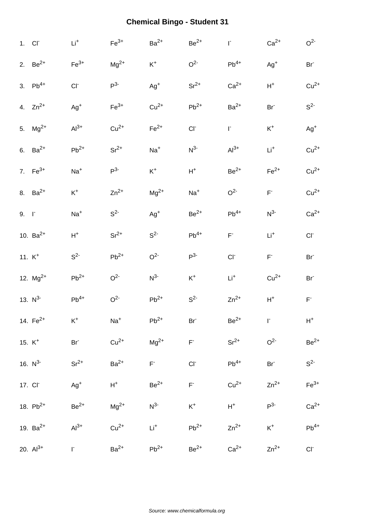|              | 1. CI <sup>-</sup>  | $\mathsf{Li}^+$    | $Fe3+$             | $Ba2+$          | $Be^{2+}$                | $\mathsf{I}^*$            | $Ca2+$                  | O <sup>2</sup>     |
|--------------|---------------------|--------------------|--------------------|-----------------|--------------------------|---------------------------|-------------------------|--------------------|
|              | 2. $Be^{2+}$        | $\mathsf{Fe}^{3+}$ | $Mg^{2+}$          | $\mathsf{K}^+$  | O <sup>2</sup>           | $Pb^{4+}$                 | $Ag+$                   | Br <sup>-</sup>    |
|              | 3. $Pb^{4+}$        | CI                 | $P^{3-}$           | $\mathsf{Ag}^+$ | $Sr^{2+}$                | $Ca2+$                    | $H^+$                   | $Cu2+$             |
|              | 4. $Zn^{2+}$        | $Ag^{+}$           | $\mathsf{Fe}^{3+}$ | $Cu2+$          | $\mathsf{Pb}^{2+}$       | $Ba2+$                    | Br <sup>-</sup>         | $S^2$              |
|              | 5. $Mg^{2+}$        | $Al^{3+}$          | $Cu2+$             | $Fe2+$          | $CI-$                    | $\Gamma$                  | $\mathsf{K}^+$          | $Ag^{+}$           |
|              | 6. $Ba^{2+}$        | $\mathsf{Pb}^{2+}$ | $Sr^{2+}$          | $Na+$           | $N^3$                    | $Al3+$                    | $\mathsf{Li}^+$         | $Cu2+$             |
|              | 7. $Fe^{3+}$        | $\textsf{Na}^+$    | $P^3$              | $K^+$           | $H^+$                    | $Be^{2+}$                 | $\mathsf{Fe}^{2+}$      | $Cu2+$             |
|              | 8. $Ba^{2+}$        | $\mathsf{K}^+$     | $Zn^{2+}$          | $Mg^{2+}$       | $Na+$                    | O <sup>2</sup>            | $\mathsf{F}^{\text{-}}$ | $Cu2+$             |
| $9. \quad 1$ |                     | $Na+$              | S <sup>2</sup>     | $Ag+$           | $Be2+$                   | $Pb^{4+}$                 | $N^3$                   | $Ca2+$             |
|              | 10. $Ba^{2+}$       | $H^+$              | $Sr^{2+}$          | S <sup>2</sup>  | $\mathsf{Pb}^{4+}$       | $\mathsf{F}^{\mathsf{r}}$ | $Li+$                   | CI                 |
|              | 11. $K^+$           | S <sup>2</sup>     | $Pb^{2+}$          | O <sup>2</sup>  | $P^3$                    | $CI-$                     | $\mathsf{F}^*$          | Br <sup>-</sup>    |
|              | 12. $Mg^{2+}$       | $\mathsf{Pb}^{2+}$ | O <sup>2</sup>     | $N^3$           | $\mathsf{K}^+$           | $Li+$                     | $Cu2+$                  | Br <sup>-</sup>    |
|              | 13. $N^3$           | $Pb^{4+}$          | O <sup>2</sup>     | $Pb^{2+}$       | $S^2$                    | $Zn^{2+}$                 | $\mathsf{H}^+$          | $\mathsf{F}^*$     |
|              | 14. $Fe^{2+}$       | $K^+$              | $Na+$              | $Pb^{2+}$       | Br <sup>-</sup>          | $Be2+$                    | $\Gamma$                | $\mathsf{H}^+$     |
|              | 15. $K^+$           | $Br-$              | $Cu2+$             | $Mg^{2+}$       | $\mathsf{F}^{\text{-}}$  | $Sr^{2+}$                 | O <sup>2</sup>          | $Be^{2+}$          |
|              | 16. $N^3$           | $Sr^{2+}$          | $Ba2+$             | $\mathsf{F}^*$  | $\mathsf{CI}^{\text{-}}$ | $Pb^{4+}$                 | Br <sup>-</sup>         | $S^2$              |
|              | 17. CI <sup>-</sup> | $Ag+$              | $H^+$              | $Be2+$          | $\mathsf{F}^*$           | $Cu2+$                    | $Zn^{2+}$               | $Fe3+$             |
|              | 18. $Pb^{2+}$       | $Be2+$             | $Mg^{2+}$          | $N^{3-}$        | $\mathsf{K}^+$           | $H^+$                     | $P^3$                   | $Ca2+$             |
|              | 19. $Ba^{2+}$       | $Al3+$             | $Cu2+$             | $Li+$           | $Pb^{2+}$                | $Zn^{2+}$                 | $K^+$                   | $\mathsf{Pb}^{4+}$ |
|              | 20. $Al^{3+}$       | F.                 | $Ba2+$             | $Pb^{2+}$       | $Be2+$                   | $Ca2+$                    | $Zn^{2+}$               | $\mathsf{CI}^-$    |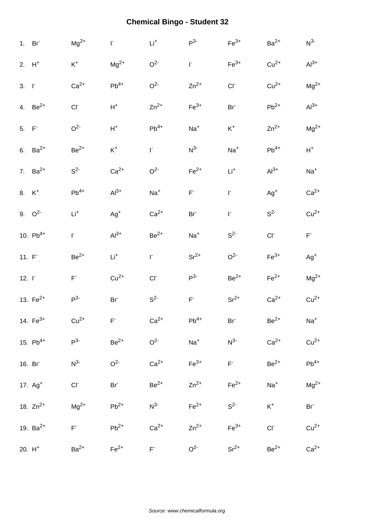|                   | 1. Br               | $Mg^{2+}$               | F.              | $\mathsf{Li}^+$  | $P^3$                   | $Fe3+$             | $Ba2+$             | $N^3$                                         |
|-------------------|---------------------|-------------------------|-----------------|------------------|-------------------------|--------------------|--------------------|-----------------------------------------------|
|                   | $2. H+$             | $\mathsf{K}^+$          | $Mg^{2+}$       | O <sup>2</sup>   | $\mathsf{I}^*$          | $\mathsf{Fe}^{3+}$ | $Cu2+$             | $Al^{3+}$                                     |
| $3. \quad \Gamma$ |                     | $Ca2+$                  | $Pb^{4+}$       | O <sup>2</sup>   | $Zn^{2+}$               | $CI-$              | $Cu2+$             | $Mg^{2+}$                                     |
|                   | 4. $Be^{2+}$        | CI                      | $H^+$           | $Zn^{2+}$        | $Fe3+$                  | Br <sup>-</sup>    | $\mathsf{Pb}^{2+}$ | $Al3+$                                        |
| $5. F-$           |                     | O <sup>2</sup>          | $H^+$           | $Pb^{4+}$        | $Na+$                   | $K^+$              | $Zn^{2+}$          | $Mg^{2+}$                                     |
|                   | 6. $Ba^{2+}$        | $Be2+$                  | $\mathsf{K}^+$  | $\mathsf{I}^*$   | $N^3$                   | $Na+$              | $Pb^{4+}$          | $H^+$                                         |
|                   | 7. $Ba^{2+}$        | $S^2$                   | $Ca2+$          | O <sup>2</sup>   | $Fe2+$                  | $Li+$              | $Al3+$             | $Na+$                                         |
|                   | 8. $K^+$            | $\mathsf{Pb}^{4+}$      | $Al3+$          | $Na+$            | $\mathsf{F}^{\text{-}}$ | $\mathsf{I}^*$     | $Ag+$              | $Ca2+$                                        |
|                   | 9. $Q^2$            | $\mathsf{Li}^+$         | $Ag+$           | $Ca2+$           | Br <sup>-</sup>         | $\mathsf{I}^*$     | $S^2$              | $Cu2+$                                        |
|                   | 10. $Pb^{4+}$       | r.                      | $Al3+$          | $\mbox{Be}^{2+}$ | $Na+$                   | $S^2$              | $CI-$              | $\mathsf{F}^{\scriptscriptstyle{\mathsf{T}}}$ |
| 11. F             |                     | $\mbox{Be}^{2+}$        | $\mathsf{Li}^+$ | $\mathsf{I}^*$   | $Sr^{2+}$               | O <sup>2</sup>     | $Fe3+$             | $Ag+$                                         |
| $12. \Gamma$      |                     | $\mathsf{F}^{\text{-}}$ | $Cu2+$          | $CI-$            | $P^3$                   | $Be2+$             | $Fe2+$             | $Mg^{2+}$                                     |
|                   | 13. $Fe^{2+}$       | $P^3$                   | $Br-$           | $S^2$            | $\mathsf{F}^{\text{-}}$ | $Sr^{2+}$          | $Ca2+$             | $Cu2+$                                        |
|                   | 14. $Fe^{3+}$       | $Cu2+$                  | $F^-$           | $Ca2+$           | $\mathsf{Pb}^{4+}$      | Br <sup>-</sup>    | $\mbox{Be}^{2+}$   | $Na+$                                         |
|                   | 15. $Pb^{4+}$       | $P^3$                   | $\rm Be^{2+}$   | O <sup>2</sup>   | $Na+$                   | $N^3$              | $Ca2+$             | $Cu2+$                                        |
|                   | 16. Br              | $N^3$                   | O <sup>2</sup>  | $Ca2+$           | $Fe3+$                  | $F^-$              | $Be2+$             | $Pb^{4+}$                                     |
|                   | 17. Ag <sup>+</sup> | $CI^-$                  | $Br^-$          | $Be2+$           | $Zn^{2+}$               | $Fe2+$             | $Na+$              | $Mg^{2+}$                                     |
|                   | 18. $Zn^{2+}$       | $Mg^{2+}$               | $Pb^{2+}$       | $N^{3-}$         | $Fe2+$                  | S <sup>2</sup>     | $\mathsf{K}^+$     | Br <sup>-</sup>                               |
|                   | 19. $Ba^{2+}$       | $\mathsf{F}^*$          | $Pb^{2+}$       | $Ca2+$           | $Zn^{2+}$               | $Fe3+$             | $CI^-$             | $Cu2+$                                        |
|                   |                     |                         |                 |                  |                         |                    |                    |                                               |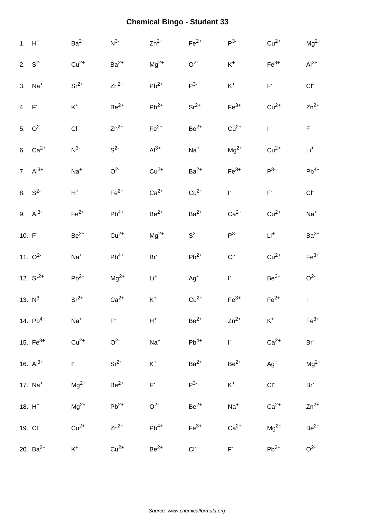|          | $1. H+$       | $Ba2+$             | $N^3$          | $Zn^{2+}$          | $\mathsf{Fe}^{2+}$ | $P^3$              | $Cu2+$             | $Mg^{2+}$          |
|----------|---------------|--------------------|----------------|--------------------|--------------------|--------------------|--------------------|--------------------|
|          | 2. $S^2$      | $Cu2+$             | $Ba2+$         | $\rm Mg^{2+}$      | O <sup>2</sup>     | $\mathsf{K}^+$     | $Fe3+$             | $Al^{3+}$          |
|          | 3. $Na+$      | $\rm Sr^{2+}$      | $Zn^{2+}$      | $Pb^{2+}$          | $P^3$              | $\mathsf{K}^+$     | $\mathsf{F}^*$     | $CI-$              |
| 4. F     |               | $\mathsf{K}^+$     | $Be2+$         | $Pb^{2+}$          | $Sr^{2+}$          | $Fe3+$             | $Cu2+$             | $Zn^{2+}$          |
|          | 5. $Q^2$      | CI <sub>1</sub>    | $Zn^{2+}$      | $\mathsf{Fe}^{2+}$ | $\mbox{Be}^{2+}$   | $Cu2+$             | $\mathsf{I}^*$     | $\mathsf{F}^*$     |
|          | 6. $Ca^{2+}$  | N <sup>3</sup>     | $S^2$          | $Al3+$             | $Na+$              | $\rm Mg^{2+}$      | $Cu2+$             | $\mathsf{Li}^+$    |
|          | 7. $Al^{3+}$  | $Na+$              | O <sup>2</sup> | $Cu2+$             | $Ba2+$             | $\mathsf{Fe}^{3+}$ | $P^3$              | $\mathsf{Pb}^{4+}$ |
|          | 8. $S^2$      | $\mathsf{H}^+$     | $Fe2+$         | $Ca2+$             | $Cu2+$             | $\mathsf{I}^*$     | $\mathsf{F}^*$     | CI                 |
|          | 9. $Al^{3+}$  | $\mathsf{Fe}^{2+}$ | $Pb^{4+}$      | $Be2+$             | $Ba2+$             | $Ca2+$             | $Cu2+$             | $Na+$              |
| $10. F-$ |               | $\mbox{Be}^{2+}$   | $Cu2+$         | $\rm Mg^{2+}$      | $S^2$              | $P^3$              | $\mathsf{Li}^+$    | $Ba2+$             |
|          | 11. $O^2$     | $Na+$              | $Pb^{4+}$      | Br <sup>-</sup>    | $Pb^{2+}$          | $CI-$              | $Cu2+$             | $Fe3+$             |
|          | 12. $Sr^{2+}$ | $Pb^{2+}$          | $\rm Mg^{2+}$  | $Li+$              | $Ag+$              | $\mathsf{I}^*$     | $\mbox{Be}^{2+}$   | O <sup>2</sup>     |
|          | 13. $N^3$     | $Sr^{2+}$          | $Ca2+$         | $\mathsf{K}^+$     | $Cu2+$             | $Fe3+$             | $\mathsf{Fe}^{2+}$ | F.                 |
|          | 14. $Pb^{4+}$ | $Na+$              | $F^-$          | $H^+$              | $Be2+$             | $Zn^{2+}$          | $\mathsf{K}^+$     | $Fe3+$             |
|          | 15. $Fe^{3+}$ | $Cu2+$             | O <sup>2</sup> | $Na+$              | $Pb^{4+}$          | $\Gamma$           | $Ca2+$             | Br <sup>-</sup>    |
|          | 16. $Al^{3+}$ | $\Gamma$           | $Sr^{2+}$      | $\mathsf{K}^+$     | $Ba2+$             | $Be^{2+}$          | $Ag+$              | $Mg^{2+}$          |
|          | 17. $Na+$     | $Mg^{2+}$          | $Be2+$         | $\mathsf{F}^*$     | $P^{3-}$           | $K^+$              | $CI-$              | Br <sup>-</sup>    |
|          | 18. $H^+$     | $Mg^{2+}$          | $Pb^{2+}$      | O <sup>2</sup>     | $Be2+$             | $Na+$              | $Ca2+$             | $Zn^{2+}$          |
|          | 19. CI        | $Cu2+$             | $Zn^{2+}$      | $Pb^{4+}$          | $Fe3+$             | $Ca2+$             | $Mg^{2+}$          | $Be^{2+}$          |
|          | 20. $Ba^{2+}$ | $K^+$              | $Cu2+$         | $Be2+$             | $Cl^-$             | $F^+$              | $Pb^{2+}$          | O <sup>2</sup>     |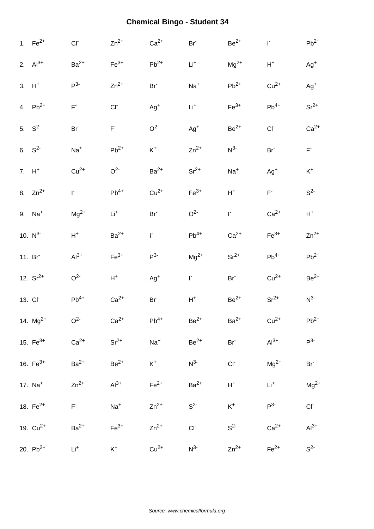| 1. $Fe^{2+}$         | CI <sub>1</sub> | $Zn^{2+}$               | $Ca2+$             | Br <sup>-</sup> | $Be2+$          | $\mathsf{I}^*$  | $Pb^{2+}$               |
|----------------------|-----------------|-------------------------|--------------------|-----------------|-----------------|-----------------|-------------------------|
| 2. $Al^{3+}$         | $Ba2+$          | $Fe3+$                  | $Pb^{2+}$          | $\mathsf{Li}^+$ | $Mg^{2+}$       | $H^+$           | $Ag+$                   |
| $3. H+$              | $P^3$           | $Zn^{2+}$               | Br <sup>-</sup>    | $Na+$           | $Pb^{2+}$       | $Cu2+$          | $Ag^{+}$                |
| 4. $Pb^{2+}$         | $\mathsf{F}^*$  | $CI-$                   | $Ag+$              | $Li+$           | $Fe3+$          | $Pb^{4+}$       | $Sr^{2+}$               |
| 5. $S^2$             | Br <sup>-</sup> | $\mathsf{F}^{\text{-}}$ | O <sup>2</sup>     | $Ag^{+}$        | $\rm Be^{2+}$   | CI              | $Ca2+$                  |
| 6. $S^2$             | $Na+$           | $Pb^{2+}$               | $\mathsf{K}^+$     | $Zn^{2+}$       | $N^3$           | Br <sup>-</sup> | $\mathsf{F}^{\text{-}}$ |
| $7. H+$              | $Cu2+$          | O <sup>2</sup>          | $Ba2+$             | $Sr^{2+}$       | $Na+$           | $Ag+$           | $\mathsf{K}^+$          |
| 8. $Zn^{2+}$         | $\Gamma$        | $Pb^{4+}$               | $Cu2+$             | $Fe3+$          | $\mathsf{H}^+$  | $\mathsf{F}^*$  | $S^2$                   |
| $9.$ Na <sup>+</sup> | $Mg^{2+}$       | $\mathsf{Li}^+$         | Br <sup>-</sup>    | O <sup>2</sup>  | $\mathsf{I}^*$  | $Ca2+$          | $\mathsf{H}^+$          |
| 10. $N^3$            | $H^+$           | $Ba2+$                  | $\mathsf{L}$       | $Pb^{4+}$       | $Ca2+$          | $Fe3+$          | $Zn^{2+}$               |
| 11. Br               | $Al3+$          | $Fe3+$                  | P <sup>3</sup>     | $Mg^{2+}$       | $Sr^{2+}$       | $Pb^{4+}$       | $Pb^{2+}$               |
| 12. $Sr^{2+}$        | O <sup>2</sup>  | $\mathsf{H}^+$          | $Ag^+$             | $\Gamma$        | Br <sup>-</sup> | $Cu2+$          | $Be2+$                  |
| 13. CI <sup>-</sup>  | $Pb^{4+}$       | $Ca2+$                  | $Br-$              | $H^+$           | $\rm Be^{2+}$   | $Sr^{2+}$       | $N^3$                   |
| 14. $Mg^{2+}$        | O <sup>2</sup>  | $Ca2+$                  | $\mathsf{Pb}^{4+}$ | $Be2+$          | $Ba2+$          | $Cu2+$          | $Pb^{2+}$               |
| 15. $Fe^{3+}$        | $Ca2+$          | $Sr^{2+}$               | $Na+$              | $Be2+$          | $Br-$           | $Al3+$          | $P^{3-}$                |
| 16. $Fe^{3+}$        | $Ba2+$          | $\rm Be^{2+}$           | $K^+$              | $N^{3-}$        | $CI^-$          | $Mg^{2+}$       | Br <sup>-</sup>         |
| 17. $Na+$            | $Zn^{2+}$       | $Al^{3+}$               | $Fe2+$             | $Ba2+$          | $\mathsf{H}^+$  | $Li+$           | $Mg^{2+}$               |
| 18. $Fe^{2+}$        | $\mathsf{F}^*$  | $Na+$                   | $Zn^{2+}$          | $S^2$           | $K^+$           | $P^3$           | $CI^-$                  |
| 19. $Cu^{2+}$        | $Ba2+$          | $Fe3+$                  | $Zn^{2+}$          | $CI^-$          | $S2-$           | $Ca2+$          | $Al3+$                  |
| 20. $Pb^{2+}$        | $Li+$           | $K^+$                   | $Cu2+$             | $N^{3-}$        | $Zn^{2+}$       | $Fe2+$          | S <sup>2</sup>          |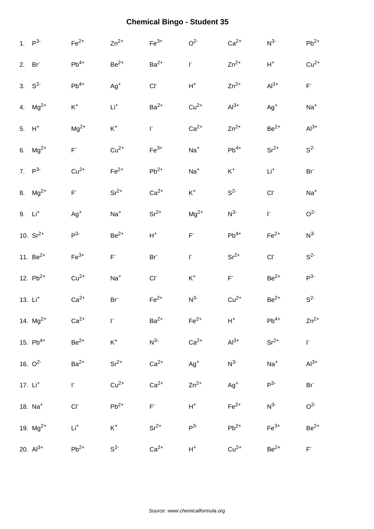| 1. $P^3$             | $Fe2+$                   | $Zn^{2+}$       | $Fe3+$          | O <sup>2</sup> | $Ca2+$             | $N^3$           | $Pb^{2+}$               |
|----------------------|--------------------------|-----------------|-----------------|----------------|--------------------|-----------------|-------------------------|
| 2. Br                | $\mathsf{Pb}^{4+}$       | $Be2+$          | $Ba2+$          | $\mathsf{I}^*$ | $Zn^{2+}$          | $H^+$           | $Cu2+$                  |
| 3. $S^2$             | $\mathsf{Pb}^{4+}$       | $Ag^+$          | $CI-$           | $H^+$          | $Zn^{2+}$          | $Al3+$          | $\mathsf{F}^{\text{-}}$ |
| 4. $Mg^{2+}$         | $\mathsf{K}^+$           | $Li+$           | $Ba2+$          | $Cu2+$         | $Al3+$             | $Ag+$           | $Na+$                   |
| 5. $H^+$             | $Mg^{2+}$                | $\mathsf{K}^+$  | F.              | $Ca2+$         | $Zn^{2+}$          | $Be2+$          | $Al3+$                  |
| 6. $Mg^{2+}$         | $\mathsf{F}^{\text{-}}$  | $Cu2+$          | $Fe3+$          | $Na+$          | $\mathsf{Pb}^{4+}$ | $Sr^{2+}$       | $S^2$                   |
| 7. $P^3$             | $Cu2+$                   | $Fe2+$          | $Pb^{2+}$       | $Na+$          | $K^+$              | $\mathsf{Li}^+$ | Br <sup>-</sup>         |
| 8. $Mg^{2+}$         | $\mathsf{F}^{\text{-}}$  | $Sr^{2+}$       | $Ca2+$          | $\mathsf{K}^+$ | $S^2$              | $CI-$           | $Na+$                   |
| $9.$ Li <sup>+</sup> | $Ag^{+}$                 | $Na+$           | $Sr^{2+}$       | $Mg^{2+}$      | $N^3$              | $\mathsf{I}^*$  | O <sup>2</sup>          |
| 10. $Sr^{2+}$        | $P3-$                    | $Be2+$          | ${\sf H}^+$     | $F^{\dagger}$  | $\mathsf{Pb}^{4+}$ | $Fe2+$          | $N^3$                   |
| 11. $Be^{2+}$        | $Fe3+$                   | $F^{\circ}$     | Br <sup>-</sup> | $\mathsf{I}^*$ | $Sr^{2+}$          | $CI-$           | $S^2$                   |
| 12. $Pb^{2+}$        | $Cu2+$                   | $Na+$           | $CI-$           | $\mathsf{K}^+$ | $F^{\circ}$        | $\rm{Be}^{2+}$  | $P^3$                   |
| 13. Li <sup>+</sup>  | $Ca2+$                   | Br <sup>-</sup> | $Fe2+$          | $N^{3-}$       | $Cu2+$             | $Be2+$          | $S^2$                   |
| 14. $Mg^{2+}$        | $Ca2+$                   | $\Gamma$        | $Ba2+$          | $Fe2+$         | $H^+$              | $Pb^{4+}$       | $Zn^{2+}$               |
| 15. $Pb^{4+}$        | $Be2+$                   | $\mathsf{K}^+$  | $N^3$           | $Ca2+$         | $Al3+$             | $Sr^{2+}$       | $\mathsf{I}^*$          |
| 16. $O^2$            | $Ba2+$                   | $Sr^{2+}$       | $Ca2+$          | $Ag^{+}$       | $N^3$              | $\mathrm{Na}^+$ | $Al^{3+}$               |
| 17. $Li+$            | $\mathsf{I}^*$           | $Cu2+$          | $Ca2+$          | $Zn^{2+}$      | $\mathsf{Ag}^+$    | $P^3$           | Br                      |
| 18. Na <sup>+</sup>  | $\mathsf{CI}^{\text{-}}$ | $Pb^{2+}$       | $F^+$           | $H^+$          | $Fe2+$             | $N^{3-}$        | O <sup>2</sup>          |
| 19. $Mg^{2+}$        | $Li+$                    | $\mathsf{K}^+$  | $Sr^{2+}$       | $P^3$          | $Pb^{2+}$          | $Fe3+$          | $Be2+$                  |
| 20. $Al^{3+}$        | $Pb^{2+}$                | $S^2$           | $Ca2+$          | $H^+$          | $Cu2+$             | $Be2+$          | $\mathsf{F}^*$          |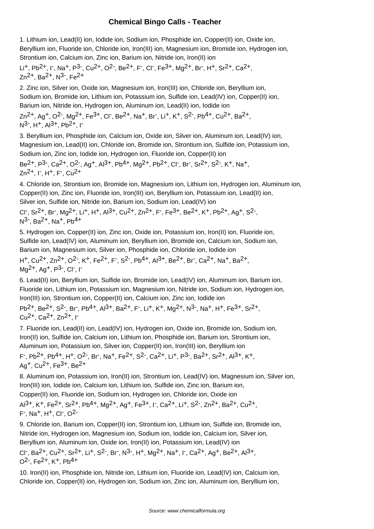#### **Chemical Bingo Calls - Teacher**

1. Lithium ion, Lead(II) ion, Iodide ion, Sodium ion, Phosphide ion, Copper(II) ion, Oxide ion, Beryllium ion, Fluoride ion, Chloride ion, Iron(III) ion, Magnesium ion, Bromide ion, Hydrogen ion, Strontium ion, Calcium ion, Zinc ion, Barium ion, Nitride ion, Iron(II) ion Li<sup>+</sup>, Pb<sup>2+</sup>, I<sup>-</sup>, Na<sup>+</sup>, P<sup>3-</sup>, Cu<sup>2+</sup>, O<sup>2-</sup>, Be<sup>2+</sup>, F<sup>-</sup>, CI<sup>-</sup>, Fe<sup>3+</sup>, Mg<sup>2+</sup>, Br<sup>-</sup>, H<sup>+</sup>, Sr<sup>2+</sup>, Ca<sup>2+</sup>, Zn<sup>2+</sup>, Ba<sup>2+</sup>, N<sup>3-</sup>, Fe<sup>2+</sup> 2. Zinc ion, Silver ion, Oxide ion, Magnesium ion, Iron(III) ion, Chloride ion, Beryllium ion, Sodium ion, Bromide ion, Lithium ion, Potassium ion, Sulfide ion, Lead(IV) ion, Copper(II) ion, Barium ion, Nitride ion, Hydrogen ion, Aluminum ion, Lead(II) ion, Iodide ion Zn<sup>2+</sup>, Ag<sup>+</sup>, O<sup>2-</sup>, Mg<sup>2+</sup>, Fe<sup>3+</sup>, Cl<sup>-</sup>, Be<sup>2+</sup>, Na<sup>+</sup>, Br<sup>-</sup>, Li<sup>+</sup>, K<sup>+</sup>, S<sup>2-</sup>, Pb<sup>4+</sup>, Cu<sup>2+</sup>, Ba<sup>2+</sup>, N<sup>3-</sup>, H<sup>+</sup>, Al<sup>3+</sup>, Pb<sup>2+</sup>, I<sup>-</sup> 3. Beryllium ion, Phosphide ion, Calcium ion, Oxide ion, Silver ion, Aluminum ion, Lead(IV) ion, Magnesium ion, Lead(II) ion, Chloride ion, Bromide ion, Strontium ion, Sulfide ion, Potassium ion, Sodium ion, Zinc ion, Iodide ion, Hydrogen ion, Fluoride ion, Copper(II) ion Be<sup>2+</sup>, P<sup>3-</sup>, Ca<sup>2+</sup>, O<sup>2-</sup>, Ag<sup>+</sup>, Al<sup>3+</sup>, Pb<sup>4+</sup>, Mg<sup>2+</sup>, Pb<sup>2+</sup>, Cl<sup>-</sup>, Br<sup>-</sup>, Sr<sup>2+</sup>, S<sup>2-</sup>, K<sup>+</sup>, Na<sup>+</sup>, Zn<sup>2+</sup>, I<sup>-</sup>, H<sup>+</sup>, F<sup>-</sup>, Cu<sup>2+</sup> 4. Chloride ion, Strontium ion, Bromide ion, Magnesium ion, Lithium ion, Hydrogen ion, Aluminum ion, Copper(II) ion, Zinc ion, Fluoride ion, Iron(III) ion, Beryllium ion, Potassium ion, Lead(II) ion, Silver ion, Sulfide ion, Nitride ion, Barium ion, Sodium ion, Lead(IV) ion CI<sup>-</sup>, Sr<sup>2+</sup>, Br<sup>-</sup>, Mg<sup>2+</sup>, Li<sup>+</sup>, H<sup>+</sup>, Al<sup>3+</sup>, Cu<sup>2+</sup>, Zn<sup>2+</sup>, F<sup>-</sup>, Fe<sup>3+</sup>, Be<sup>2+</sup>, K<sup>+</sup>, Pb<sup>2+</sup>, Ag<sup>+</sup>, S<sup>2-</sup>, N<sup>3-</sup>, Ba<sup>2+</sup>, Na<sup>+</sup>, Pb<sup>4+</sup> 5. Hydrogen ion, Copper(II) ion, Zinc ion, Oxide ion, Potassium ion, Iron(II) ion, Fluoride ion, Sulfide ion, Lead(IV) ion, Aluminum ion, Beryllium ion, Bromide ion, Calcium ion, Sodium ion, Barium ion, Magnesium ion, Silver ion, Phosphide ion, Chloride ion, Iodide ion H<sup>+</sup>, Cu<sup>2+</sup>, Zn<sup>2+</sup>, O<sup>2-</sup>, K<sup>+</sup>, Fe<sup>2+</sup>, F<sup>-</sup>, S<sup>2-</sup>, Pb<sup>4+</sup>, Al<sup>3+</sup>, Be<sup>2+</sup>, Br<sup>-</sup>, Ca<sup>2+</sup>, Na<sup>+</sup>, Ba<sup>2+</sup>, Mg<sup>2+</sup>, Ag<sup>+</sup>, P<sup>3-</sup>, Cl<sup>-</sup>, I<sup>-</sup> 6. Lead(II) ion, Beryllium ion, Sulfide ion, Bromide ion, Lead(IV) ion, Aluminum ion, Barium ion, Fluoride ion, Lithium ion, Potassium ion, Magnesium ion, Nitride ion, Sodium ion, Hydrogen ion, Iron(III) ion, Strontium ion, Copper(II) ion, Calcium ion, Zinc ion, Iodide ion Pb<sup>2+</sup>, Be<sup>2+</sup>, S<sup>2-</sup>, Br<sup>-</sup>, Pb<sup>4+</sup>, Al<sup>3+</sup>, Ba<sup>2+</sup>, F<sup>-</sup>, Li<sup>+</sup>, K<sup>+</sup>, Mg<sup>2+</sup>, N<sup>3-</sup>, Na<sup>+</sup>, H<sup>+</sup>, Fe<sup>3+</sup>, Sr<sup>2+</sup>, Cu<sup>2+</sup>, Ca<sup>2+</sup>, Zn<sup>2+</sup>, I<sup>-</sup> 7. Fluoride ion, Lead(II) ion, Lead(IV) ion, Hydrogen ion, Oxide ion, Bromide ion, Sodium ion,

Iron(II) ion, Sulfide ion, Calcium ion, Lithium ion, Phosphide ion, Barium ion, Strontium ion, Aluminum ion, Potassium ion, Silver ion, Copper(II) ion, Iron(III) ion, Beryllium ion F<sup>-</sup>, Pb<sup>2+</sup>, Pb<sup>4+</sup>, H<sup>+</sup>, O<sup>2-</sup>, Br<sup>-</sup>, Na<sup>+</sup>, Fe<sup>2+</sup>, S<sup>2-</sup>, Ca<sup>2+</sup>, Li<sup>+</sup>, P<sup>3-</sup>, Ba<sup>2+</sup>, Sr<sup>2+</sup>, Al<sup>3+</sup>, K<sup>+</sup>, Ag<sup>+</sup>, Cu<sup>2+</sup>, Fe<sup>3+</sup>, Be<sup>2+</sup>

8. Aluminum ion, Potassium ion, Iron(II) ion, Strontium ion, Lead(IV) ion, Magnesium ion, Silver ion, Iron(III) ion, Iodide ion, Calcium ion, Lithium ion, Sulfide ion, Zinc ion, Barium ion, Copper(II) ion, Fluoride ion, Sodium ion, Hydrogen ion, Chloride ion, Oxide ion Al<sup>3+</sup>, K<sup>+</sup>, Fe<sup>2+</sup>, Sr<sup>2+</sup>, Pb<sup>4+</sup>, Mg<sup>2+</sup>, Ag<sup>+</sup>, Fe<sup>3+</sup>, I<sup>-</sup>, Ca<sup>2+</sup>, Li<sup>+</sup>, S<sup>2-</sup>, Zn<sup>2+</sup>, Ba<sup>2+</sup>, Cu<sup>2+</sup>,

F<sup>-</sup>, Na<sup>+</sup>, H<sup>+</sup>, Cl<sup>-</sup>, O<sup>2-</sup>

9. Chloride ion, Barium ion, Copper(II) ion, Strontium ion, Lithium ion, Sulfide ion, Bromide ion, Nitride ion, Hydrogen ion, Magnesium ion, Sodium ion, Iodide ion, Calcium ion, Silver ion, Beryllium ion, Aluminum ion, Oxide ion, Iron(II) ion, Potassium ion, Lead(IV) ion CI<sup>-</sup>, Ba<sup>2+</sup>, Cu<sup>2+</sup>, Sr<sup>2+</sup>, Li<sup>+</sup>, S<sup>2-</sup>, Br<sup>-</sup>, N<sup>3-</sup>, H<sup>+</sup>, Mg<sup>2+</sup>, Na<sup>+</sup>, I<sup>-</sup>, Ca<sup>2+</sup>, Ag<sup>+</sup>, Be<sup>2+</sup>, Al<sup>3+</sup>, O<sup>2-</sup>, Fe<sup>2+</sup>, K<sup>+</sup>, Pb<sup>4+</sup>

10. Iron(II) ion, Phosphide ion, Nitride ion, Lithium ion, Fluoride ion, Lead(IV) ion, Calcium ion, Chloride ion, Copper(II) ion, Hydrogen ion, Sodium ion, Zinc ion, Aluminum ion, Beryllium ion,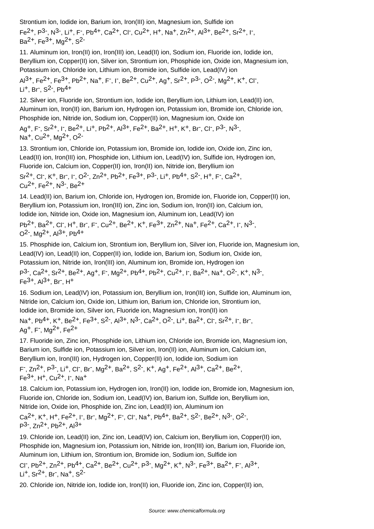Strontium ion, Iodide ion, Barium ion, Iron(III) ion, Magnesium ion, Sulfide ion Fe<sup>2+</sup>, P<sup>3-</sup>, N<sup>3-</sup>, Li<sup>+</sup>, F<sup>-</sup>, Pb<sup>4+</sup>, Ca<sup>2+</sup>, Cl<sup>-</sup>, Cu<sup>2+</sup>, H<sup>+</sup>, Na<sup>+</sup>, Zn<sup>2+</sup>, Al<sup>3+</sup>, Be<sup>2+</sup>, Sr<sup>2+</sup>, I<sup>-</sup>, Ba<sup>2+</sup>, Fe<sup>3+</sup>, Mg<sup>2+</sup>, S<sup>2-</sup>

11. Aluminum ion, Iron(II) ion, Iron(III) ion, Lead(II) ion, Sodium ion, Fluoride ion, Iodide ion, Beryllium ion, Copper(II) ion, Silver ion, Strontium ion, Phosphide ion, Oxide ion, Magnesium ion, Potassium ion, Chloride ion, Lithium ion, Bromide ion, Sulfide ion, Lead(IV) ion Al<sup>3+</sup>, Fe<sup>2+</sup>, Fe<sup>3+</sup>, Pb<sup>2+</sup>, Na<sup>+</sup>, F<sup>-</sup>, I<sup>-</sup>, Be<sup>2+</sup>, Cu<sup>2+</sup>, Ag<sup>+</sup>, Sr<sup>2+</sup>, P<sup>3-</sup>, O<sup>2-</sup>, Mg<sup>2+</sup>, K<sup>+</sup>, Cl<sup>-</sup>, Li<sup>+</sup>, Br<sup>-</sup>, S<sup>2-</sup>, Pb<sup>4+</sup>

12. Silver ion, Fluoride ion, Strontium ion, Iodide ion, Beryllium ion, Lithium ion, Lead(II) ion, Aluminum ion, Iron(II) ion, Barium ion, Hydrogen ion, Potassium ion, Bromide ion, Chloride ion, Phosphide ion, Nitride ion, Sodium ion, Copper(II) ion, Magnesium ion, Oxide ion

Ag<sup>+</sup>, F<sup>-</sup>, Sr<sup>2+</sup>, I<sup>-</sup>, Be<sup>2+</sup>, Li<sup>+</sup>, Pb<sup>2+</sup>, Al<sup>3+</sup>, Fe<sup>2+</sup>, Ba<sup>2+</sup>, H<sup>+</sup>, K<sup>+</sup>, Br<sup>-</sup>, Cl<sup>-</sup>, P<sup>3-</sup>, N<sup>3-</sup>, Na<sup>+</sup>, Cu<sup>2+</sup>, Mg<sup>2+</sup>, O<sup>2-</sup>

13. Strontium ion, Chloride ion, Potassium ion, Bromide ion, Iodide ion, Oxide ion, Zinc ion, Lead(II) ion, Iron(III) ion, Phosphide ion, Lithium ion, Lead(IV) ion, Sulfide ion, Hydrogen ion, Fluoride ion, Calcium ion, Copper(II) ion, Iron(II) ion, Nitride ion, Beryllium ion Sr<sup>2+</sup>, Cl<sup>-</sup>, K<sup>+</sup>, Br<sup>-</sup>, I<sup>-</sup>, O<sup>2-</sup>, Zn<sup>2+</sup>, Pb<sup>2+</sup>, Fe<sup>3+</sup>, P<sup>3-</sup>, Li<sup>+</sup>, Pb<sup>4+</sup>, S<sup>2-</sup>, H<sup>+</sup>, F<sup>-</sup>, Ca<sup>2+</sup>,  $Cu<sup>2+</sup>$ , Fe $<sup>2+</sup>$ , N<sup>3-</sup>, Be $<sup>2+</sup>$ </sup></sup>

14. Lead(II) ion, Barium ion, Chloride ion, Hydrogen ion, Bromide ion, Fluoride ion, Copper(II) ion, Beryllium ion, Potassium ion, Iron(III) ion, Zinc ion, Sodium ion, Iron(II) ion, Calcium ion, Iodide ion, Nitride ion, Oxide ion, Magnesium ion, Aluminum ion, Lead(IV) ion Pb<sup>2+</sup>, Ba<sup>2+</sup>, Cl<sup>-</sup>, H<sup>+</sup>, Br<sup>-</sup>, F<sup>-</sup>, Cu<sup>2+</sup>, Be<sup>2+</sup>, K<sup>+</sup>, Fe<sup>3+</sup>, Zn<sup>2+</sup>, Na<sup>+</sup>, Fe<sup>2+</sup>, Ca<sup>2+</sup>, I<sup>-</sup>, N<sup>3-</sup>, O<sup>2-</sup>, Mg<sup>2+</sup>, Al<sup>3+</sup>, Pb<sup>4+</sup>

15. Phosphide ion, Calcium ion, Strontium ion, Beryllium ion, Silver ion, Fluoride ion, Magnesium ion, Lead(IV) ion, Lead(II) ion, Copper(II) ion, Iodide ion, Barium ion, Sodium ion, Oxide ion, Potassium ion, Nitride ion, Iron(III) ion, Aluminum ion, Bromide ion, Hydrogen ion P<sup>3-</sup>, Ca<sup>2+</sup>, Sr<sup>2+</sup>, Be<sup>2+</sup>, Ag<sup>+</sup>, F<sup>-</sup>, Mg<sup>2+</sup>, Pb<sup>4+</sup>, Pb<sup>2+</sup>, Cu<sup>2+</sup>, I<sup>-</sup>, Ba<sup>2+</sup>, Na<sup>+</sup>, O<sup>2-</sup>, K<sup>+</sup>, N<sup>3-</sup>, Fe<sup>3+</sup>, Al<sup>3+</sup>, Br<sup>-</sup>, H<sup>+</sup>

16. Sodium ion, Lead(IV) ion, Potassium ion, Beryllium ion, Iron(III) ion, Sulfide ion, Aluminum ion, Nitride ion, Calcium ion, Oxide ion, Lithium ion, Barium ion, Chloride ion, Strontium ion, Iodide ion, Bromide ion, Silver ion, Fluoride ion, Magnesium ion, Iron(II) ion

Na<sup>+</sup>, Pb<sup>4+</sup>, K<sup>+</sup>, Be<sup>2+</sup>, Fe<sup>3+</sup>, S<sup>2-</sup>, Al<sup>3+</sup>, N<sup>3-</sup>, Ca<sup>2+</sup>, O<sup>2-</sup>, Li<sup>+</sup>, Ba<sup>2+</sup>, Cl<sup>-</sup>, Sr<sup>2+</sup>, I<sup>-</sup>, Br<sup>-</sup>, Ag<sup>+</sup>, F<sup>-</sup>, Mg<sup>2+</sup>, Fe<sup>2+</sup>

17. Fluoride ion, Zinc ion, Phosphide ion, Lithium ion, Chloride ion, Bromide ion, Magnesium ion, Barium ion, Sulfide ion, Potassium ion, Silver ion, Iron(II) ion, Aluminum ion, Calcium ion, Beryllium ion, Iron(III) ion, Hydrogen ion, Copper(II) ion, Iodide ion, Sodium ion

F<sup>-</sup>, Zn<sup>2+</sup>, P<sup>3-</sup>, Li<sup>+</sup>, Cl<sup>-</sup>, Br<sup>-</sup>, Mg<sup>2+</sup>, Ba<sup>2+</sup>, S<sup>2-</sup>, K<sup>+</sup>, Ag<sup>+</sup>, Fe<sup>2+</sup>, Al<sup>3+</sup>, Ca<sup>2+</sup>, Be<sup>2+</sup>, Fe<sup>3+</sup>, H<sup>+</sup>, Cu<sup>2+</sup>, I<sup>-</sup>, Na<sup>+</sup>

18. Calcium ion, Potassium ion, Hydrogen ion, Iron(II) ion, Iodide ion, Bromide ion, Magnesium ion, Fluoride ion, Chloride ion, Sodium ion, Lead(IV) ion, Barium ion, Sulfide ion, Beryllium ion, Nitride ion, Oxide ion, Phosphide ion, Zinc ion, Lead(II) ion, Aluminum ion

 $Ca^{2+}$ , K<sup>+</sup>, H<sup>+</sup>, Fe<sup>2+</sup>, I<sup>-</sup>, Br<sup>-</sup>, Mg<sup>2+</sup>, F<sup>-</sup>, Cl<sup>-</sup>, Na<sup>+</sup>, Pb<sup>4+</sup>, Ba<sup>2+</sup>, S<sup>2-</sup>, Be<sup>2+</sup>, N<sup>3-</sup>, O<sup>2-</sup>, P<sup>3-</sup>, Zn<sup>2+</sup>, Pb<sup>2+</sup>, Al<sup>3+</sup>

19. Chloride ion, Lead(II) ion, Zinc ion, Lead(IV) ion, Calcium ion, Beryllium ion, Copper(II) ion, Phosphide ion, Magnesium ion, Potassium ion, Nitride ion, Iron(III) ion, Barium ion, Fluoride ion, Aluminum ion, Lithium ion, Strontium ion, Bromide ion, Sodium ion, Sulfide ion

CI<sup>-</sup>, Pb<sup>2+</sup>, Zn<sup>2+</sup>, Pb<sup>4+</sup>, Ca<sup>2+</sup>, Be<sup>2+</sup>, Cu<sup>2+</sup>, P<sup>3-</sup>, Mg<sup>2+</sup>, K<sup>+</sup>, N<sup>3-</sup>, Fe<sup>3+</sup>, Ba<sup>2+</sup>, F<sup>-</sup>, Al<sup>3+</sup>, Li<sup>+</sup>, Sr<sup>2+</sup>, Br<sup>-</sup>, Na<sup>+</sup>, S<sup>2-</sup>

20. Chloride ion, Nitride ion, Iodide ion, Iron(II) ion, Fluoride ion, Zinc ion, Copper(II) ion,